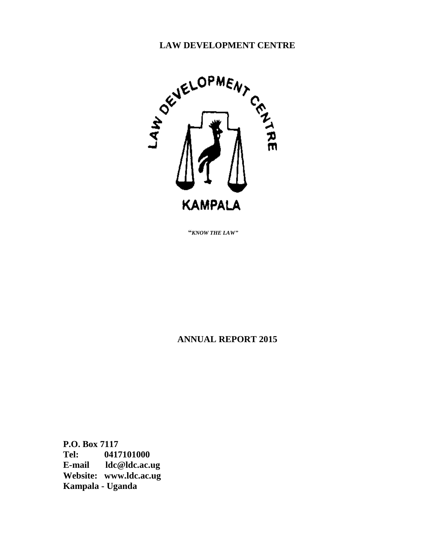

 **"***KNOW THE LAW"*

# **ANNUAL REPORT 2015**

**P.O. Box 7117 Tel: 0417101000 E-mail ldc@ldc.ac.ug Website: www.ldc.ac.ug Kampala - Uganda**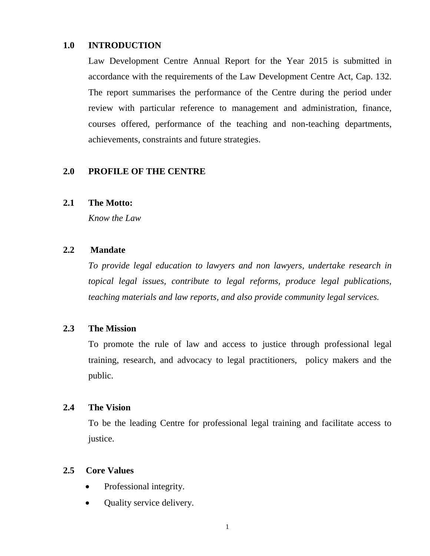#### **1.0 INTRODUCTION**

Law Development Centre Annual Report for the Year 2015 is submitted in accordance with the requirements of the Law Development Centre Act, Cap. 132. The report summarises the performance of the Centre during the period under review with particular reference to management and administration, finance, courses offered, performance of the teaching and non-teaching departments, achievements, constraints and future strategies.

### **2.0 PROFILE OF THE CENTRE**

#### **2.1 The Motto:**

*Know the Law*

### **2.2 Mandate**

*To provide legal education to lawyers and non lawyers, undertake research in topical legal issues, contribute to legal reforms, produce legal publications, teaching materials and law reports, and also provide community legal services.* 

#### **2.3 The Mission**

To promote the rule of law and access to justice through professional legal training, research, and advocacy to legal practitioners, policy makers and the public.

#### **2.4 The Vision**

To be the leading Centre for professional legal training and facilitate access to justice.

#### **2.5 Core Values**

- Professional integrity.
- Quality service delivery.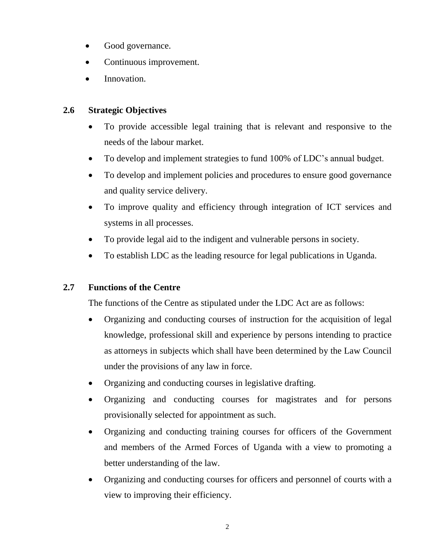- Good governance.
- Continuous improvement.
- Innovation.

### **2.6 Strategic Objectives**

- To provide accessible legal training that is relevant and responsive to the needs of the labour market.
- To develop and implement strategies to fund 100% of LDC's annual budget.
- To develop and implement policies and procedures to ensure good governance and quality service delivery.
- To improve quality and efficiency through integration of ICT services and systems in all processes.
- To provide legal aid to the indigent and vulnerable persons in society.
- To establish LDC as the leading resource for legal publications in Uganda.

### **2.7 Functions of the Centre**

The functions of the Centre as stipulated under the LDC Act are as follows:

- Organizing and conducting courses of instruction for the acquisition of legal knowledge, professional skill and experience by persons intending to practice as attorneys in subjects which shall have been determined by the Law Council under the provisions of any law in force.
- Organizing and conducting courses in legislative drafting.
- Organizing and conducting courses for magistrates and for persons provisionally selected for appointment as such.
- Organizing and conducting training courses for officers of the Government and members of the Armed Forces of Uganda with a view to promoting a better understanding of the law.
- Organizing and conducting courses for officers and personnel of courts with a view to improving their efficiency.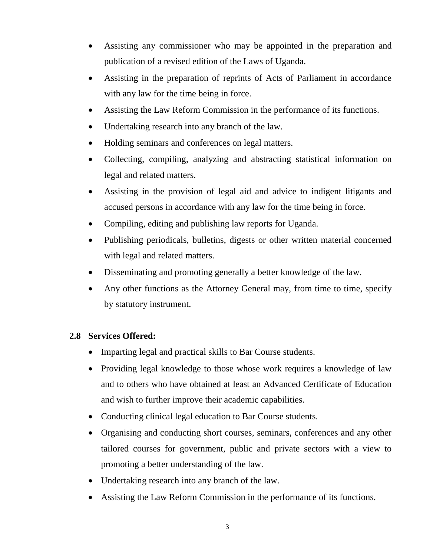- Assisting any commissioner who may be appointed in the preparation and publication of a revised edition of the Laws of Uganda.
- Assisting in the preparation of reprints of Acts of Parliament in accordance with any law for the time being in force.
- Assisting the Law Reform Commission in the performance of its functions.
- Undertaking research into any branch of the law.
- Holding seminars and conferences on legal matters.
- Collecting, compiling, analyzing and abstracting statistical information on legal and related matters.
- Assisting in the provision of legal aid and advice to indigent litigants and accused persons in accordance with any law for the time being in force.
- Compiling, editing and publishing law reports for Uganda.
- Publishing periodicals, bulletins, digests or other written material concerned with legal and related matters.
- Disseminating and promoting generally a better knowledge of the law.
- Any other functions as the Attorney General may, from time to time, specify by statutory instrument.

### **2.8 Services Offered:**

- Imparting legal and practical skills to Bar Course students.
- Providing legal knowledge to those whose work requires a knowledge of law and to others who have obtained at least an Advanced Certificate of Education and wish to further improve their academic capabilities.
- Conducting clinical legal education to Bar Course students.
- Organising and conducting short courses, seminars, conferences and any other tailored courses for government, public and private sectors with a view to promoting a better understanding of the law.
- Undertaking research into any branch of the law.
- Assisting the Law Reform Commission in the performance of its functions.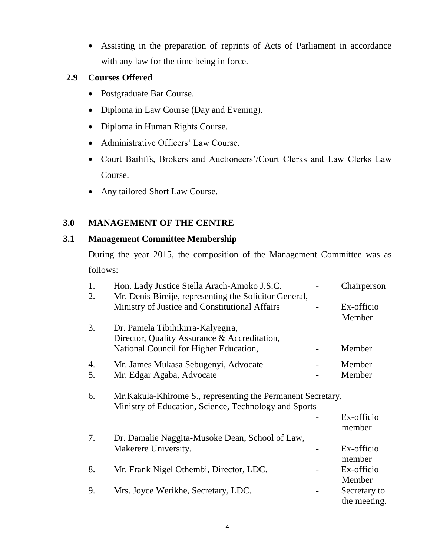Assisting in the preparation of reprints of Acts of Parliament in accordance with any law for the time being in force.

### **2.9 Courses Offered**

- Postgraduate Bar Course.
- Diploma in Law Course (Day and Evening).
- Diploma in Human Rights Course.
- Administrative Officers' Law Course.
- Court Bailiffs, Brokers and Auctioneers'/Court Clerks and Law Clerks Law Course.
- Any tailored Short Law Course.

### **3.0 MANAGEMENT OF THE CENTRE**

### **3.1 Management Committee Membership**

During the year 2015, the composition of the Management Committee was as follows:

| 1. | Hon. Lady Justice Stella Arach-Amoko J.S.C.                                                                           | Chairperson                  |
|----|-----------------------------------------------------------------------------------------------------------------------|------------------------------|
| 2. | Mr. Denis Bireije, representing the Solicitor General,                                                                |                              |
|    | Ministry of Justice and Constitutional Affairs                                                                        | Ex-officio<br>Member         |
| 3. | Dr. Pamela Tibihikirra-Kalyegira,                                                                                     |                              |
|    | Director, Quality Assurance & Accreditation,                                                                          |                              |
|    | National Council for Higher Education,                                                                                | Member                       |
| 4. | Mr. James Mukasa Sebugenyi, Advocate                                                                                  | Member                       |
| 5. | Mr. Edgar Agaba, Advocate                                                                                             | Member                       |
| 6. | Mr. Kakula-Khirome S., representing the Permanent Secretary,<br>Ministry of Education, Science, Technology and Sports |                              |
|    |                                                                                                                       | Ex-officio<br>member         |
| 7. | Dr. Damalie Naggita-Musoke Dean, School of Law,                                                                       |                              |
|    | Makerere University.                                                                                                  | Ex-officio<br>member         |
| 8. |                                                                                                                       | Ex-officio                   |
|    | Mr. Frank Nigel Othembi, Director, LDC.                                                                               | Member                       |
| 9. |                                                                                                                       |                              |
|    | Mrs. Joyce Werikhe, Secretary, LDC.                                                                                   | Secretary to<br>the meeting. |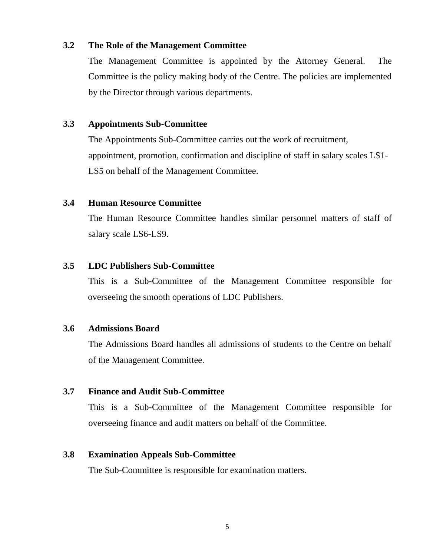#### **3.2 The Role of the Management Committee**

The Management Committee is appointed by the Attorney General. The Committee is the policy making body of the Centre. The policies are implemented by the Director through various departments.

#### **3.3 Appointments Sub-Committee**

The Appointments Sub-Committee carries out the work of recruitment, appointment, promotion, confirmation and discipline of staff in salary scales LS1- LS5 on behalf of the Management Committee.

#### **3.4 Human Resource Committee**

The Human Resource Committee handles similar personnel matters of staff of salary scale LS6-LS9.

#### **3.5 LDC Publishers Sub-Committee**

This is a Sub-Committee of the Management Committee responsible for overseeing the smooth operations of LDC Publishers.

#### **3.6 Admissions Board**

The Admissions Board handles all admissions of students to the Centre on behalf of the Management Committee.

#### **3.7 Finance and Audit Sub-Committee**

This is a Sub-Committee of the Management Committee responsible for overseeing finance and audit matters on behalf of the Committee.

#### **3.8 Examination Appeals Sub-Committee**

The Sub-Committee is responsible for examination matters.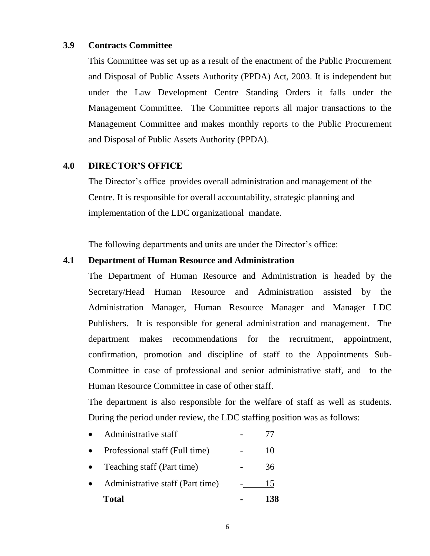#### **3.9 Contracts Committee**

This Committee was set up as a result of the enactment of the Public Procurement and Disposal of Public Assets Authority (PPDA) Act, 2003. It is independent but under the Law Development Centre Standing Orders it falls under the Management Committee. The Committee reports all major transactions to the Management Committee and makes monthly reports to the Public Procurement and Disposal of Public Assets Authority (PPDA).

#### **4.0 DIRECTOR'S OFFICE**

The Director's office provides overall administration and management of the Centre. It is responsible for overall accountability, strategic planning and implementation of the LDC organizational mandate.

The following departments and units are under the Director's office:

#### **4.1 Department of Human Resource and Administration**

The Department of Human Resource and Administration is headed by the Secretary/Head Human Resource and Administration assisted by the Administration Manager, Human Resource Manager and Manager LDC Publishers. It is responsible for general administration and management. The department makes recommendations for the recruitment, appointment, confirmation, promotion and discipline of staff to the Appointments Sub-Committee in case of professional and senior administrative staff, and to the Human Resource Committee in case of other staff.

The department is also responsible for the welfare of staff as well as students. During the period under review, the LDC staffing position was as follows:

- Administrative staff  $\overline{77}$
- Professional staff (Full time) 10
- Teaching staff (Part time) 36
- Administrative staff (Part time) 15 **Total - 138**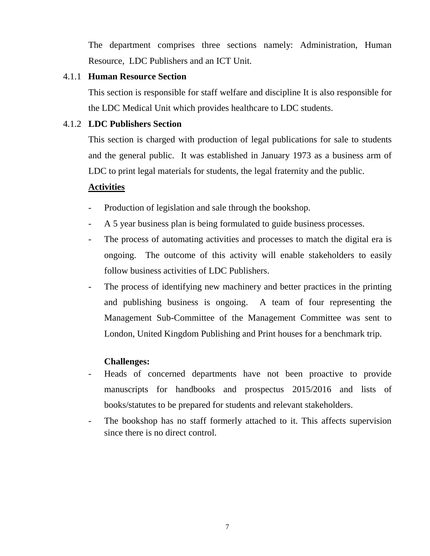The department comprises three sections namely: Administration, Human Resource, LDC Publishers and an ICT Unit.

### 4.1.1 **Human Resource Section**

This section is responsible for staff welfare and discipline It is also responsible for the LDC Medical Unit which provides healthcare to LDC students.

### 4.1.2 **LDC Publishers Section**

This section is charged with production of legal publications for sale to students and the general public. It was established in January 1973 as a business arm of LDC to print legal materials for students, the legal fraternity and the public.

### **Activities**

- Production of legislation and sale through the bookshop.
- A 5 year business plan is being formulated to guide business processes.
- The process of automating activities and processes to match the digital era is ongoing. The outcome of this activity will enable stakeholders to easily follow business activities of LDC Publishers.
- The process of identifying new machinery and better practices in the printing and publishing business is ongoing. A team of four representing the Management Sub-Committee of the Management Committee was sent to London, United Kingdom Publishing and Print houses for a benchmark trip.

### **Challenges:**

- Heads of concerned departments have not been proactive to provide manuscripts for handbooks and prospectus 2015/2016 and lists of books/statutes to be prepared for students and relevant stakeholders.
- The bookshop has no staff formerly attached to it. This affects supervision since there is no direct control.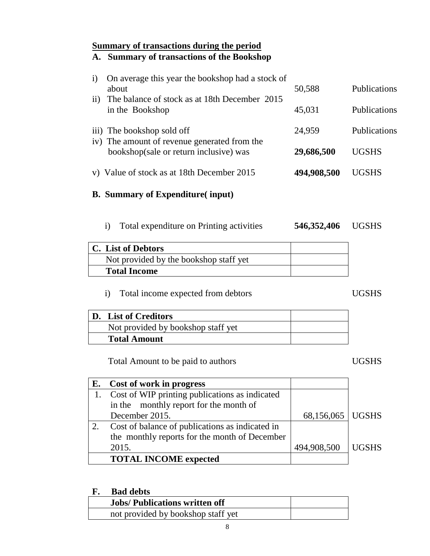# **Summary of transactions during the period**

# **A. Summary of transactions of the Bookshop**

| $\rm i)$ | On average this year the bookshop had a stock of                                       |             |                     |
|----------|----------------------------------------------------------------------------------------|-------------|---------------------|
|          | about                                                                                  | 50,588      | <b>Publications</b> |
| ii)      | The balance of stock as at 18th December 2015<br>in the Bookshop                       | 45,031      | <b>Publications</b> |
|          | iii) The bookshop sold off                                                             | 24,959      | <b>Publications</b> |
|          | iv) The amount of revenue generated from the<br>bookshop(sale or return inclusive) was | 29,686,500  | <b>UGSHS</b>        |
|          | v) Value of stock as at 18th December 2015                                             | 494,908,500 | UGSHS               |

### **B. Summary of Expenditure( input)**

i) Total expenditure on Printing activities

**546,352,406** UGSHS

| C. List of Debtors                     |  |
|----------------------------------------|--|
| Not provided by the bookshop staff yet |  |
| <b>Total Income</b>                    |  |

### i) Total income expected from debtors UGSHS

| D. List of Creditors               |  |
|------------------------------------|--|
| Not provided by bookshop staff yet |  |
| <b>Total Amount</b>                |  |

Total Amount to be paid to authors UGSHS

| E. Cost of work in progress                     |                    |              |
|-------------------------------------------------|--------------------|--------------|
| Cost of WIP printing publications as indicated  |                    |              |
| in the monthly report for the month of          |                    |              |
| December 2015.                                  | 68,156,065   UGSHS |              |
| Cost of balance of publications as indicated in |                    |              |
| the monthly reports for the month of December   |                    |              |
| 2015.                                           | 494,908,500        | <b>UGSHS</b> |
| <b>TOTAL INCOME expected</b>                    |                    |              |

### **F. Bad debts**

| . . | buu uccu                             |  |
|-----|--------------------------------------|--|
|     | <b>Jobs/Publications written off</b> |  |
|     | not provided by bookshop staff yet   |  |
|     |                                      |  |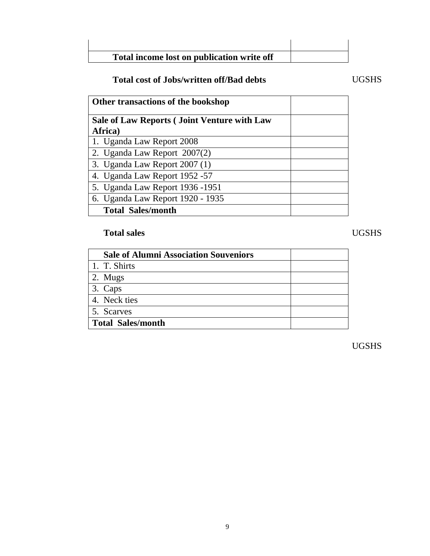| Total income lost on publication write off |  |
|--------------------------------------------|--|

### Total cost of Jobs/written off/Bad debts **UGSHS**

| Other transactions of the bookshop                 |
|----------------------------------------------------|
| <b>Sale of Law Reports (Joint Venture with Law</b> |
| Africa)                                            |
| 1. Uganda Law Report 2008                          |
| 2. Uganda Law Report 2007(2)                       |
| 3. Uganda Law Report $2007(1)$                     |
| 4. Uganda Law Report 1952 - 57                     |
| 5. Uganda Law Report 1936 -1951                    |
| 6. Uganda Law Report 1920 - 1935                   |
| <b>Total Sales/month</b>                           |

### **Total sales** UGSHS

 **Sale of Alumni Association Souveniors** 1. T. Shirts 2. Mugs 3. Caps 4. Neck ties 5. Scarves **Total Sales/month**

UGSHS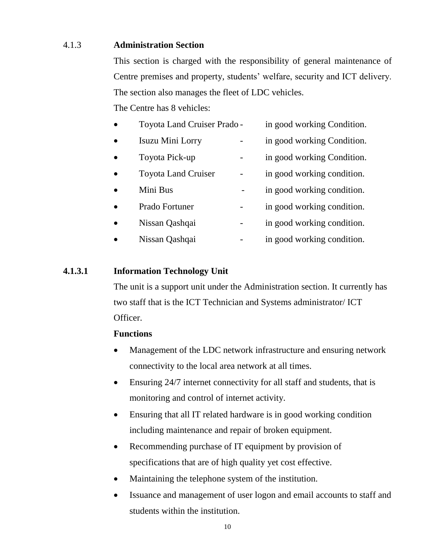### 4.1.3 **Administration Section**

This section is charged with the responsibility of general maintenance of Centre premises and property, students' welfare, security and ICT delivery. The section also manages the fleet of LDC vehicles.

The Centre has 8 vehicles:

| Toyota Land Cruiser Prado - | in good working Condition. |
|-----------------------------|----------------------------|
| Isuzu Mini Lorry            | in good working Condition. |
| Toyota Pick-up              | in good working Condition. |
| <b>Toyota Land Cruiser</b>  | in good working condition. |
| Mini Bus                    | in good working condition. |
| Prado Fortuner              | in good working condition. |
|                             |                            |

- Nissan Qashqai in good working condition.
- Nissan Qashqai in good working condition.

### **4.1.3.1 Information Technology Unit**

The unit is a support unit under the Administration section. It currently has two staff that is the ICT Technician and Systems administrator/ ICT Officer.

### **Functions**

- Management of the LDC network infrastructure and ensuring network connectivity to the local area network at all times.
- Ensuring 24/7 internet connectivity for all staff and students, that is monitoring and control of internet activity.
- Ensuring that all IT related hardware is in good working condition including maintenance and repair of broken equipment.
- Recommending purchase of IT equipment by provision of specifications that are of high quality yet cost effective.
- Maintaining the telephone system of the institution.
- Issuance and management of user logon and email accounts to staff and students within the institution.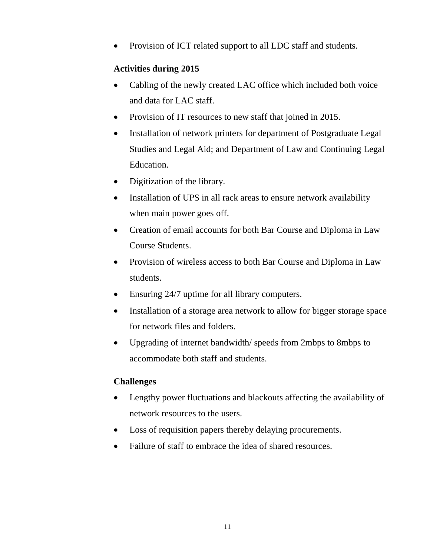Provision of ICT related support to all LDC staff and students.

### **Activities during 2015**

- Cabling of the newly created LAC office which included both voice and data for LAC staff.
- Provision of IT resources to new staff that joined in 2015.
- Installation of network printers for department of Postgraduate Legal Studies and Legal Aid; and Department of Law and Continuing Legal Education.
- Digitization of the library.
- Installation of UPS in all rack areas to ensure network availability when main power goes off.
- Creation of email accounts for both Bar Course and Diploma in Law Course Students.
- Provision of wireless access to both Bar Course and Diploma in Law students.
- Ensuring 24/7 uptime for all library computers.
- Installation of a storage area network to allow for bigger storage space for network files and folders.
- Upgrading of internet bandwidth/ speeds from 2mbps to 8mbps to accommodate both staff and students.

### **Challenges**

- Lengthy power fluctuations and blackouts affecting the availability of network resources to the users.
- Loss of requisition papers thereby delaying procurements.
- Failure of staff to embrace the idea of shared resources.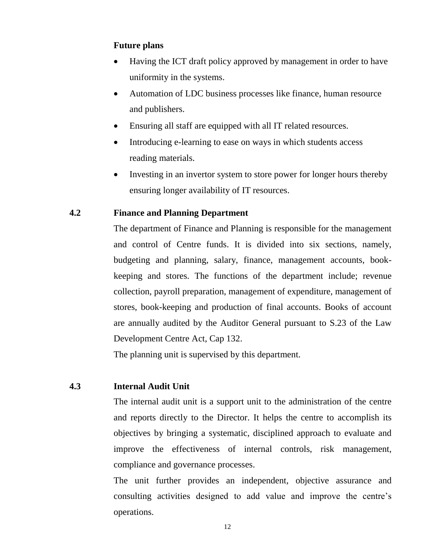### **Future plans**

- Having the ICT draft policy approved by management in order to have uniformity in the systems.
- Automation of LDC business processes like finance, human resource and publishers.
- Ensuring all staff are equipped with all IT related resources.
- Introducing e-learning to ease on ways in which students access reading materials.
- Investing in an invertor system to store power for longer hours thereby ensuring longer availability of IT resources.

#### **4.2 Finance and Planning Department**

The department of Finance and Planning is responsible for the management and control of Centre funds. It is divided into six sections, namely, budgeting and planning, salary, finance, management accounts, bookkeeping and stores. The functions of the department include; revenue collection, payroll preparation, management of expenditure, management of stores, book-keeping and production of final accounts. Books of account are annually audited by the Auditor General pursuant to S.23 of the Law Development Centre Act, Cap 132.

The planning unit is supervised by this department.

#### **4.3 Internal Audit Unit**

The internal audit unit is a support unit to the administration of the centre and reports directly to the Director. It helps the centre to accomplish its objectives by bringing a systematic, disciplined approach to evaluate and improve the effectiveness of internal controls, risk management, compliance and governance processes.

The unit further provides an independent, objective assurance and consulting activities designed to add value and improve the centre's operations.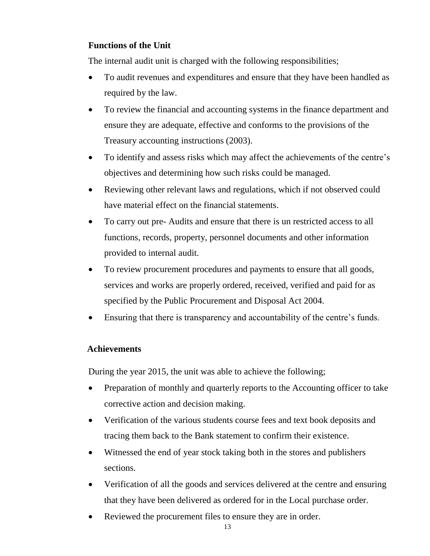### **Functions of the Unit**

The internal audit unit is charged with the following responsibilities;

- To audit revenues and expenditures and ensure that they have been handled as required by the law.
- To review the financial and accounting systems in the finance department and ensure they are adequate, effective and conforms to the provisions of the Treasury accounting instructions (2003).
- To identify and assess risks which may affect the achievements of the centre's objectives and determining how such risks could be managed.
- Reviewing other relevant laws and regulations, which if not observed could have material effect on the financial statements.
- To carry out pre- Audits and ensure that there is un restricted access to all functions, records, property, personnel documents and other information provided to internal audit.
- To review procurement procedures and payments to ensure that all goods, services and works are properly ordered, received, verified and paid for as specified by the Public Procurement and Disposal Act 2004.
- Ensuring that there is transparency and accountability of the centre's funds.

### **Achievements**

During the year 2015, the unit was able to achieve the following;

- Preparation of monthly and quarterly reports to the Accounting officer to take corrective action and decision making.
- Verification of the various students course fees and text book deposits and tracing them back to the Bank statement to confirm their existence.
- Witnessed the end of year stock taking both in the stores and publishers sections.
- Verification of all the goods and services delivered at the centre and ensuring that they have been delivered as ordered for in the Local purchase order.
- Reviewed the procurement files to ensure they are in order.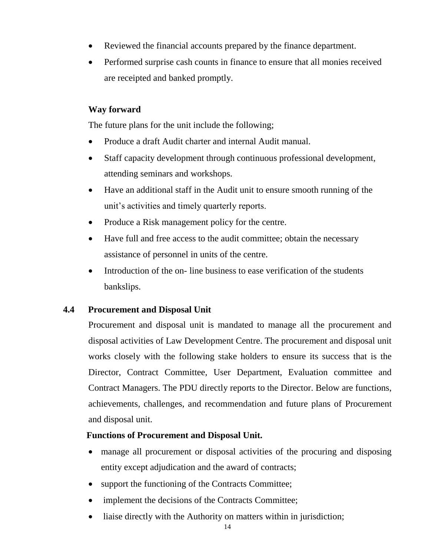- Reviewed the financial accounts prepared by the finance department.
- Performed surprise cash counts in finance to ensure that all monies received are receipted and banked promptly.

### **Way forward**

The future plans for the unit include the following;

- Produce a draft Audit charter and internal Audit manual.
- Staff capacity development through continuous professional development, attending seminars and workshops.
- Have an additional staff in the Audit unit to ensure smooth running of the unit's activities and timely quarterly reports.
- Produce a Risk management policy for the centre.
- Have full and free access to the audit committee; obtain the necessary assistance of personnel in units of the centre.
- Introduction of the on-line business to ease verification of the students bankslips.

### **4.4 Procurement and Disposal Unit**

Procurement and disposal unit is mandated to manage all the procurement and disposal activities of Law Development Centre. The procurement and disposal unit works closely with the following stake holders to ensure its success that is the Director, Contract Committee, User Department, Evaluation committee and Contract Managers. The PDU directly reports to the Director. Below are functions, achievements, challenges, and recommendation and future plans of Procurement and disposal unit.

### **Functions of Procurement and Disposal Unit.**

- manage all procurement or disposal activities of the procuring and disposing entity except adjudication and the award of contracts;
- support the functioning of the Contracts Committee;
- implement the decisions of the Contracts Committee;
- liaise directly with the Authority on matters within in jurisdiction;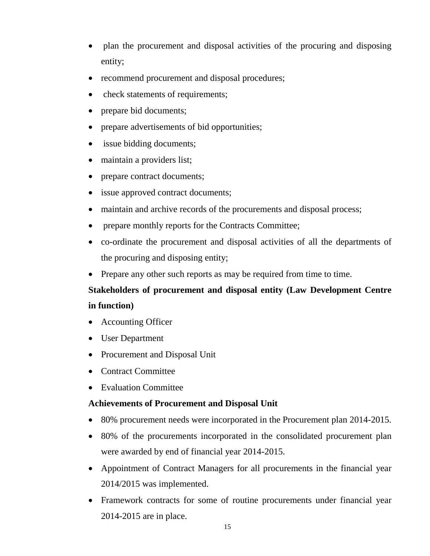- plan the procurement and disposal activities of the procuring and disposing entity;
- recommend procurement and disposal procedures;
- check statements of requirements;
- prepare bid documents;
- prepare advertisements of bid opportunities;
- issue bidding documents;
- maintain a providers list;
- prepare contract documents;
- issue approved contract documents;
- maintain and archive records of the procurements and disposal process;
- prepare monthly reports for the Contracts Committee;
- co-ordinate the procurement and disposal activities of all the departments of the procuring and disposing entity;
- Prepare any other such reports as may be required from time to time.

# **Stakeholders of procurement and disposal entity (Law Development Centre in function)**

- Accounting Officer
- User Department
- Procurement and Disposal Unit
- Contract Committee
- Evaluation Committee

### **Achievements of Procurement and Disposal Unit**

- 80% procurement needs were incorporated in the Procurement plan 2014-2015.
- 80% of the procurements incorporated in the consolidated procurement plan were awarded by end of financial year 2014-2015.
- Appointment of Contract Managers for all procurements in the financial year 2014/2015 was implemented.
- Framework contracts for some of routine procurements under financial year 2014-2015 are in place.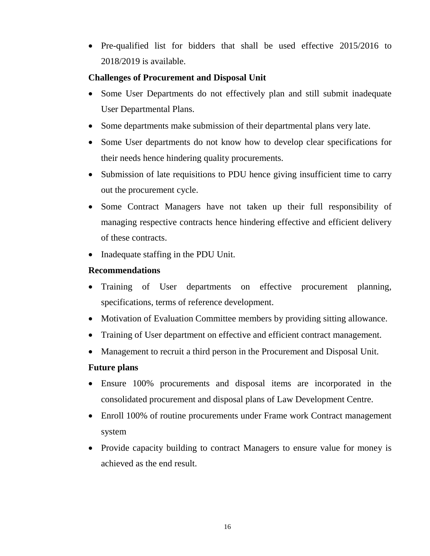• Pre-qualified list for bidders that shall be used effective 2015/2016 to 2018/2019 is available.

### **Challenges of Procurement and Disposal Unit**

- Some User Departments do not effectively plan and still submit inadequate User Departmental Plans.
- Some departments make submission of their departmental plans very late.
- Some User departments do not know how to develop clear specifications for their needs hence hindering quality procurements.
- Submission of late requisitions to PDU hence giving insufficient time to carry out the procurement cycle.
- Some Contract Managers have not taken up their full responsibility of managing respective contracts hence hindering effective and efficient delivery of these contracts.
- Inadequate staffing in the PDU Unit.

### **Recommendations**

- Training of User departments on effective procurement planning, specifications, terms of reference development.
- Motivation of Evaluation Committee members by providing sitting allowance.
- Training of User department on effective and efficient contract management.
- Management to recruit a third person in the Procurement and Disposal Unit.

### **Future plans**

- Ensure 100% procurements and disposal items are incorporated in the consolidated procurement and disposal plans of Law Development Centre.
- Enroll 100% of routine procurements under Frame work Contract management system
- Provide capacity building to contract Managers to ensure value for money is achieved as the end result.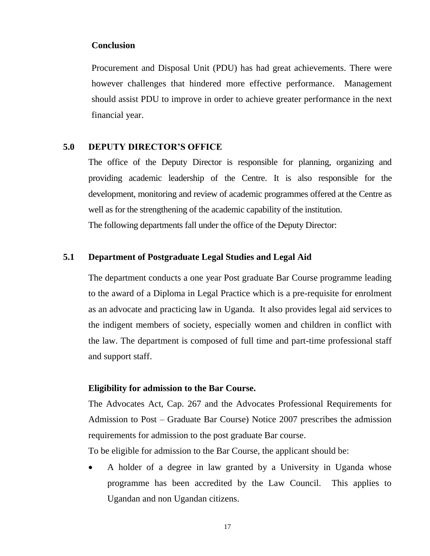#### **Conclusion**

Procurement and Disposal Unit (PDU) has had great achievements. There were however challenges that hindered more effective performance. Management should assist PDU to improve in order to achieve greater performance in the next financial year.

#### **5.0 DEPUTY DIRECTOR'S OFFICE**

The office of the Deputy Director is responsible for planning, organizing and providing academic leadership of the Centre. It is also responsible for the development, monitoring and review of academic programmes offered at the Centre as well as for the strengthening of the academic capability of the institution. The following departments fall under the office of the Deputy Director:

#### **5.1 Department of Postgraduate Legal Studies and Legal Aid**

The department conducts a one year Post graduate Bar Course programme leading to the award of a Diploma in Legal Practice which is a pre-requisite for enrolment as an advocate and practicing law in Uganda. It also provides legal aid services to the indigent members of society, especially women and children in conflict with the law. The department is composed of full time and part-time professional staff and support staff.

#### **Eligibility for admission to the Bar Course.**

The Advocates Act, Cap. 267 and the Advocates Professional Requirements for Admission to Post – Graduate Bar Course) Notice 2007 prescribes the admission requirements for admission to the post graduate Bar course.

To be eligible for admission to the Bar Course, the applicant should be:

 A holder of a degree in law granted by a University in Uganda whose programme has been accredited by the Law Council. This applies to Ugandan and non Ugandan citizens.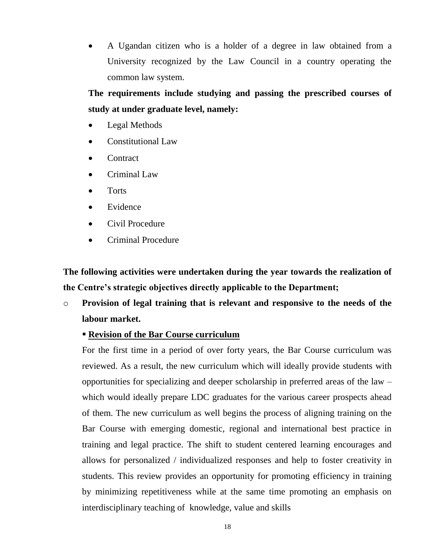A Ugandan citizen who is a holder of a degree in law obtained from a University recognized by the Law Council in a country operating the common law system.

**The requirements include studying and passing the prescribed courses of study at under graduate level, namely:**

- Legal Methods
- Constitutional Law
- **Contract**
- Criminal Law
- Torts
- Evidence
- Civil Procedure
- Criminal Procedure

**The following activities were undertaken during the year towards the realization of the Centre's strategic objectives directly applicable to the Department;**

o **Provision of legal training that is relevant and responsive to the needs of the labour market.**

#### **Revision of the Bar Course curriculum**

For the first time in a period of over forty years, the Bar Course curriculum was reviewed. As a result, the new curriculum which will ideally provide students with opportunities for specializing and deeper scholarship in preferred areas of the law – which would ideally prepare LDC graduates for the various career prospects ahead of them. The new curriculum as well begins the process of aligning training on the Bar Course with emerging domestic, regional and international best practice in training and legal practice. The shift to student centered learning encourages and allows for personalized / individualized responses and help to foster creativity in students. This review provides an opportunity for promoting efficiency in training by minimizing repetitiveness while at the same time promoting an emphasis on interdisciplinary teaching of knowledge, value and skills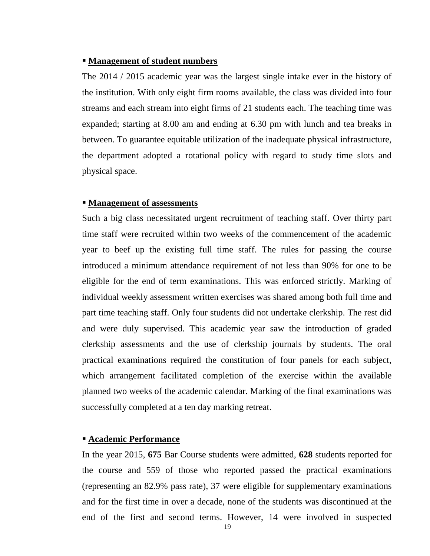#### **Management of student numbers**

The 2014 / 2015 academic year was the largest single intake ever in the history of the institution. With only eight firm rooms available, the class was divided into four streams and each stream into eight firms of 21 students each. The teaching time was expanded; starting at 8.00 am and ending at 6.30 pm with lunch and tea breaks in between. To guarantee equitable utilization of the inadequate physical infrastructure, the department adopted a rotational policy with regard to study time slots and physical space.

#### **Management of assessments**

Such a big class necessitated urgent recruitment of teaching staff. Over thirty part time staff were recruited within two weeks of the commencement of the academic year to beef up the existing full time staff. The rules for passing the course introduced a minimum attendance requirement of not less than 90% for one to be eligible for the end of term examinations. This was enforced strictly. Marking of individual weekly assessment written exercises was shared among both full time and part time teaching staff. Only four students did not undertake clerkship. The rest did and were duly supervised. This academic year saw the introduction of graded clerkship assessments and the use of clerkship journals by students. The oral practical examinations required the constitution of four panels for each subject, which arrangement facilitated completion of the exercise within the available planned two weeks of the academic calendar. Marking of the final examinations was successfully completed at a ten day marking retreat.

#### **Academic Performance**

In the year 2015, **675** Bar Course students were admitted, **628** students reported for the course and 559 of those who reported passed the practical examinations (representing an 82.9% pass rate), 37 were eligible for supplementary examinations and for the first time in over a decade, none of the students was discontinued at the end of the first and second terms. However, 14 were involved in suspected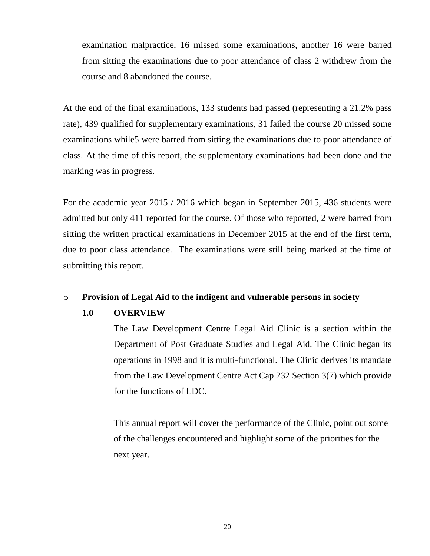examination malpractice, 16 missed some examinations, another 16 were barred from sitting the examinations due to poor attendance of class 2 withdrew from the course and 8 abandoned the course.

At the end of the final examinations, 133 students had passed (representing a 21.2% pass rate), 439 qualified for supplementary examinations, 31 failed the course 20 missed some examinations while 5 were barred from sitting the examinations due to poor attendance of class. At the time of this report, the supplementary examinations had been done and the marking was in progress.

For the academic year 2015 / 2016 which began in September 2015, 436 students were admitted but only 411 reported for the course. Of those who reported, 2 were barred from sitting the written practical examinations in December 2015 at the end of the first term, due to poor class attendance. The examinations were still being marked at the time of submitting this report.

### o **Provision of Legal Aid to the indigent and vulnerable persons in society**

### **1.0 OVERVIEW**

The Law Development Centre Legal Aid Clinic is a section within the Department of Post Graduate Studies and Legal Aid. The Clinic began its operations in 1998 and it is multi-functional. The Clinic derives its mandate from the Law Development Centre Act Cap 232 Section 3(7) which provide for the functions of LDC.

This annual report will cover the performance of the Clinic, point out some of the challenges encountered and highlight some of the priorities for the next year.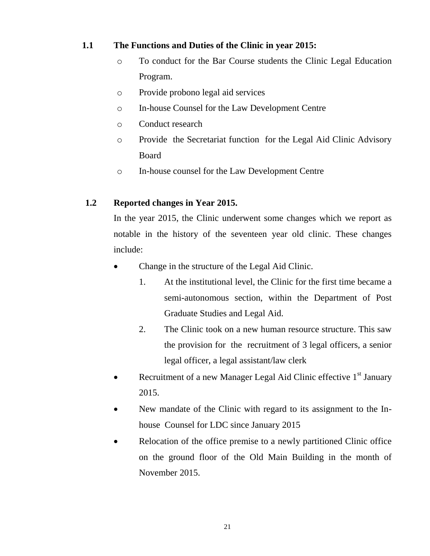### **1.1 The Functions and Duties of the Clinic in year 2015:**

- o To conduct for the Bar Course students the Clinic Legal Education Program.
- o Provide probono legal aid services
- o In-house Counsel for the Law Development Centre
- o Conduct research
- o Provide the Secretariat function for the Legal Aid Clinic Advisory Board
- o In-house counsel for the Law Development Centre

### **1.2 Reported changes in Year 2015.**

In the year 2015, the Clinic underwent some changes which we report as notable in the history of the seventeen year old clinic. These changes include:

- Change in the structure of the Legal Aid Clinic.
	- 1. At the institutional level, the Clinic for the first time became a semi-autonomous section, within the Department of Post Graduate Studies and Legal Aid.
	- 2. The Clinic took on a new human resource structure. This saw the provision for the recruitment of 3 legal officers, a senior legal officer, a legal assistant/law clerk
- Recruitment of a new Manager Legal Aid Clinic effective  $1<sup>st</sup>$  January 2015.
- New mandate of the Clinic with regard to its assignment to the Inhouse Counsel for LDC since January 2015
- Relocation of the office premise to a newly partitioned Clinic office on the ground floor of the Old Main Building in the month of November 2015.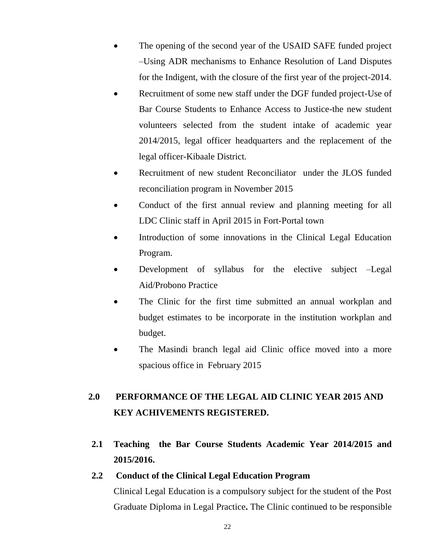- The opening of the second year of the USAID SAFE funded project –Using ADR mechanisms to Enhance Resolution of Land Disputes for the Indigent, with the closure of the first year of the project-2014.
- Recruitment of some new staff under the DGF funded project-Use of Bar Course Students to Enhance Access to Justice-the new student volunteers selected from the student intake of academic year 2014/2015, legal officer headquarters and the replacement of the legal officer-Kibaale District.
- Recruitment of new student Reconciliator under the JLOS funded reconciliation program in November 2015
- Conduct of the first annual review and planning meeting for all LDC Clinic staff in April 2015 in Fort-Portal town
- Introduction of some innovations in the Clinical Legal Education Program.
- Development of syllabus for the elective subject –Legal Aid/Probono Practice
- The Clinic for the first time submitted an annual workplan and budget estimates to be incorporate in the institution workplan and budget.
- The Masindi branch legal aid Clinic office moved into a more spacious office in February 2015

# **2.0 PERFORMANCE OF THE LEGAL AID CLINIC YEAR 2015 AND KEY ACHIVEMENTS REGISTERED.**

**2.1 Teaching the Bar Course Students Academic Year 2014/2015 and 2015/2016.**

### **2.2 Conduct of the Clinical Legal Education Program**

Clinical Legal Education is a compulsory subject for the student of the Post Graduate Diploma in Legal Practice**.** The Clinic continued to be responsible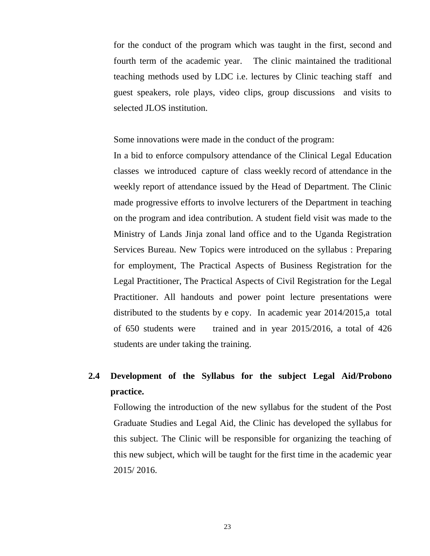for the conduct of the program which was taught in the first, second and fourth term of the academic year. The clinic maintained the traditional teaching methods used by LDC i.e. lectures by Clinic teaching staff and guest speakers, role plays, video clips, group discussions and visits to selected JLOS institution.

Some innovations were made in the conduct of the program:

In a bid to enforce compulsory attendance of the Clinical Legal Education classes we introduced capture of class weekly record of attendance in the weekly report of attendance issued by the Head of Department. The Clinic made progressive efforts to involve lecturers of the Department in teaching on the program and idea contribution. A student field visit was made to the Ministry of Lands Jinja zonal land office and to the Uganda Registration Services Bureau. New Topics were introduced on the syllabus : Preparing for employment, The Practical Aspects of Business Registration for the Legal Practitioner, The Practical Aspects of Civil Registration for the Legal Practitioner. All handouts and power point lecture presentations were distributed to the students by e copy. In academic year 2014/2015,a total of 650 students were trained and in year 2015/2016, a total of 426 students are under taking the training.

# **2.4 Development of the Syllabus for the subject Legal Aid/Probono practice.**

Following the introduction of the new syllabus for the student of the Post Graduate Studies and Legal Aid, the Clinic has developed the syllabus for this subject. The Clinic will be responsible for organizing the teaching of this new subject, which will be taught for the first time in the academic year 2015/ 2016.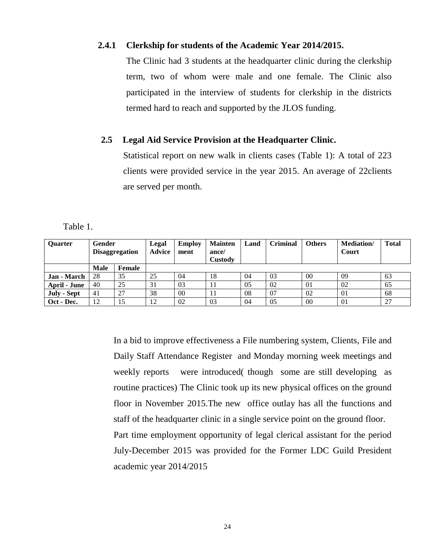#### **2.4.1 Clerkship for students of the Academic Year 2014/2015.**

The Clinic had 3 students at the headquarter clinic during the clerkship term, two of whom were male and one female. The Clinic also participated in the interview of students for clerkship in the districts termed hard to reach and supported by the JLOS funding.

#### **2.5 Legal Aid Service Provision at the Headquarter Clinic.**

Statistical report on new walk in clients cases (Table 1): A total of 223 clients were provided service in the year 2015. An average of 22clients are served per month.

Table 1.

| Ouarter      | Gender<br><b>Disaggregation</b> |        | Legal<br><b>Advice</b> | <b>Employ</b><br>ment | <b>Mainten</b><br>ance/<br>Custody | Land | <b>Criminal</b> | <b>Others</b> | <b>Mediation</b> /<br>Court | <b>Total</b> |
|--------------|---------------------------------|--------|------------------------|-----------------------|------------------------------------|------|-----------------|---------------|-----------------------------|--------------|
|              | Male                            | Female |                        |                       |                                    |      |                 |               |                             |              |
| Jan - March  | 28                              | 35     | 25                     | 04                    | 18                                 | 04   | 03              | 00            | 09                          | 63           |
| April - June | 40                              | 25     | 31                     | 03                    | 11                                 | 05   | 02              | 01            | 02                          | 65           |
| July - Sept  | 41                              | 27     | 38                     | 00                    | 11                                 | 08   | 07              | 02            | 01                          | 68           |
| Oct - Dec.   | 12                              | 15     | 12                     | 02                    | 03                                 | 04   | 05              | 00            | 01                          | 27           |

In a bid to improve effectiveness a File numbering system, Clients, File and Daily Staff Attendance Register and Monday morning week meetings and weekly reports were introduced( though some are still developing as routine practices) The Clinic took up its new physical offices on the ground floor in November 2015.The new office outlay has all the functions and staff of the headquarter clinic in a single service point on the ground floor. Part time employment opportunity of legal clerical assistant for the period July-December 2015 was provided for the Former LDC Guild President academic year 2014/2015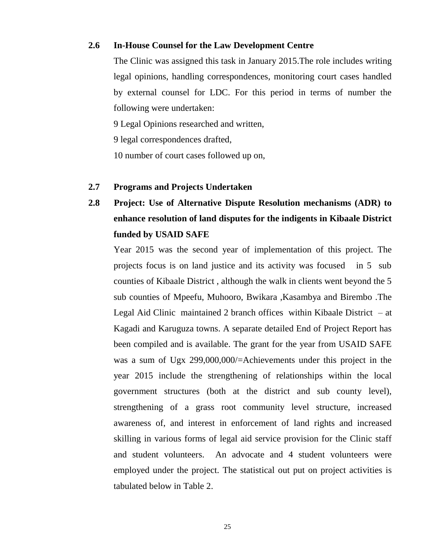#### **2.6 In-House Counsel for the Law Development Centre**

The Clinic was assigned this task in January 2015.The role includes writing legal opinions, handling correspondences, monitoring court cases handled by external counsel for LDC. For this period in terms of number the following were undertaken:

9 Legal Opinions researched and written,

9 legal correspondences drafted,

10 number of court cases followed up on,

#### **2.7 Programs and Projects Undertaken**

**2.8 Project: Use of Alternative Dispute Resolution mechanisms (ADR) to enhance resolution of land disputes for the indigents in Kibaale District funded by USAID SAFE**

Year 2015 was the second year of implementation of this project. The projects focus is on land justice and its activity was focused in 5 sub counties of Kibaale District , although the walk in clients went beyond the 5 sub counties of Mpeefu, Muhooro, Bwikara ,Kasambya and Birembo .The Legal Aid Clinic maintained 2 branch offices within Kibaale District  $-$  at Kagadi and Karuguza towns. A separate detailed End of Project Report has been compiled and is available. The grant for the year from USAID SAFE was a sum of Ugx 299,000,000/=Achievements under this project in the year 2015 include the strengthening of relationships within the local government structures (both at the district and sub county level), strengthening of a grass root community level structure, increased awareness of, and interest in enforcement of land rights and increased skilling in various forms of legal aid service provision for the Clinic staff and student volunteers. An advocate and 4 student volunteers were employed under the project. The statistical out put on project activities is tabulated below in Table 2.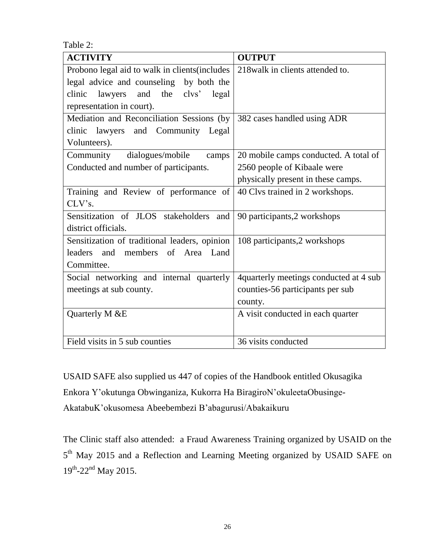Table 2:

| <b>ACTIVITY</b>                                | <b>OUTPUT</b>                           |
|------------------------------------------------|-----------------------------------------|
| Probono legal aid to walk in clients(includes  | 218 walk in clients attended to.        |
| legal advice and counseling<br>by both the     |                                         |
| and<br>the clvs'<br>clinic<br>lawyers<br>legal |                                         |
| representation in court).                      |                                         |
| Mediation and Reconciliation Sessions (by      | 382 cases handled using ADR             |
| lawyers and Community<br>Legal<br>clinic       |                                         |
| Volunteers).                                   |                                         |
| Community<br>dialogues/mobile<br>camps         | 20 mobile camps conducted. A total of   |
| Conducted and number of participants.          | 2560 people of Kibaale were             |
|                                                | physically present in these camps.      |
| Training and Review of performance of          | 40 Clvs trained in 2 workshops.         |
| CLV's.                                         |                                         |
| Sensitization of JLOS stakeholders and         | 90 participants, 2 workshops            |
| district officials.                            |                                         |
| Sensitization of traditional leaders, opinion  | 108 participants,2 workshops            |
| leaders<br>and members of Area Land            |                                         |
| Committee.                                     |                                         |
| Social networking and internal quarterly       | 4 quarterly meetings conducted at 4 sub |
| meetings at sub county.                        | counties-56 participants per sub        |
|                                                | county.                                 |
| Quarterly M &E                                 | A visit conducted in each quarter       |
|                                                |                                         |
| Field visits in 5 sub counties                 | 36 visits conducted                     |

USAID SAFE also supplied us 447 of copies of the Handbook entitled Okusagika Enkora Y'okutunga Obwinganiza, Kukorra Ha BiragiroN'okuleetaObusinge-AkatabuK'okusomesa Abeebembezi B'abagurusi/Abakaikuru

The Clinic staff also attended: a Fraud Awareness Training organized by USAID on the 5<sup>th</sup> May 2015 and a Reflection and Learning Meeting organized by USAID SAFE on 19th-22<sup>nd</sup> May 2015.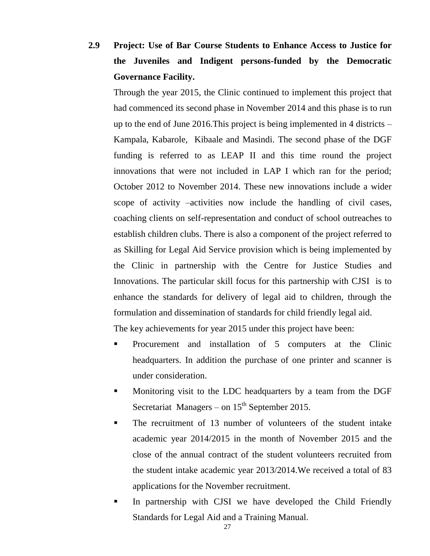**2.9 Project: Use of Bar Course Students to Enhance Access to Justice for the Juveniles and Indigent persons-funded by the Democratic Governance Facility.**

Through the year 2015, the Clinic continued to implement this project that had commenced its second phase in November 2014 and this phase is to run up to the end of June 2016.This project is being implemented in 4 districts – Kampala, Kabarole, Kibaale and Masindi. The second phase of the DGF funding is referred to as LEAP II and this time round the project innovations that were not included in LAP I which ran for the period; October 2012 to November 2014. These new innovations include a wider scope of activity –activities now include the handling of civil cases, coaching clients on self-representation and conduct of school outreaches to establish children clubs. There is also a component of the project referred to as Skilling for Legal Aid Service provision which is being implemented by the Clinic in partnership with the Centre for Justice Studies and Innovations. The particular skill focus for this partnership with CJSI is to enhance the standards for delivery of legal aid to children, through the formulation and dissemination of standards for child friendly legal aid.

The key achievements for year 2015 under this project have been:

- Procurement and installation of 5 computers at the Clinic headquarters. In addition the purchase of one printer and scanner is under consideration.
- Monitoring visit to the LDC headquarters by a team from the DGF Secretariat Managers – on  $15<sup>th</sup>$  September 2015.
- The recruitment of 13 number of volunteers of the student intake academic year 2014/2015 in the month of November 2015 and the close of the annual contract of the student volunteers recruited from the student intake academic year 2013/2014.We received a total of 83 applications for the November recruitment.
- In partnership with CJSI we have developed the Child Friendly Standards for Legal Aid and a Training Manual.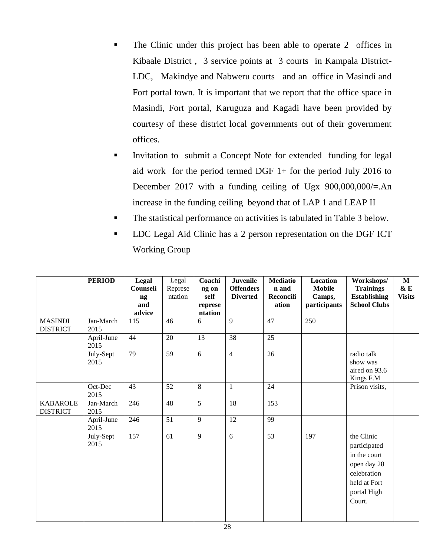- The Clinic under this project has been able to operate 2 offices in Kibaale District , 3 service points at 3 courts in Kampala District-LDC, Makindye and Nabweru courts and an office in Masindi and Fort portal town. It is important that we report that the office space in Masindi, Fort portal, Karuguza and Kagadi have been provided by courtesy of these district local governments out of their government offices.
- Invitation to submit a Concept Note for extended funding for legal aid work for the period termed DGF 1+ for the period July 2016 to December 2017 with a funding ceiling of Ugx  $900,000,000/=$ .An increase in the funding ceiling beyond that of LAP 1 and LEAP II
- The statistical performance on activities is tabulated in Table 3 below.
- LDC Legal Aid Clinic has a 2 person representation on the DGF ICT Working Group

|                                    | <b>PERIOD</b>      | Legal<br>Counseli<br>ng<br>and<br>advice | Legal<br>Represe<br>ntation | Coachi<br>ng on<br>self<br>represe<br>ntation | <b>Juvenile</b><br><b>Offenders</b><br><b>Diverted</b> | <b>Mediatio</b><br>n and<br>Reconcili<br>ation | Location<br><b>Mobile</b><br>Camps,<br>participants | Workshops/<br><b>Trainings</b><br><b>Establishing</b><br><b>School Clubs</b>                                      | $\mathbf{M}$<br>& E<br><b>Visits</b> |
|------------------------------------|--------------------|------------------------------------------|-----------------------------|-----------------------------------------------|--------------------------------------------------------|------------------------------------------------|-----------------------------------------------------|-------------------------------------------------------------------------------------------------------------------|--------------------------------------|
| <b>MASINDI</b><br><b>DISTRICT</b>  | Jan-March<br>2015  | 115                                      | 46                          | 6                                             | $\overline{9}$                                         | 47                                             | 250                                                 |                                                                                                                   |                                      |
|                                    | April-June<br>2015 | 44                                       | 20                          | 13                                            | 38                                                     | $\overline{25}$                                |                                                     |                                                                                                                   |                                      |
|                                    | July-Sept<br>2015  | 79                                       | 59                          | 6                                             | $\overline{4}$                                         | 26                                             |                                                     | radio talk<br>show was<br>aired on 93.6<br>Kings F.M                                                              |                                      |
|                                    | Oct-Dec<br>2015    | 43                                       | 52                          | $\,8\,$                                       | 1                                                      | 24                                             |                                                     | Prison visits,                                                                                                    |                                      |
| <b>KABAROLE</b><br><b>DISTRICT</b> | Jan-March<br>2015  | 246                                      | 48                          | $\overline{5}$                                | 18                                                     | 153                                            |                                                     |                                                                                                                   |                                      |
|                                    | April-June<br>2015 | 246                                      | 51                          | 9                                             | 12                                                     | 99                                             |                                                     |                                                                                                                   |                                      |
|                                    | July-Sept<br>2015  | 157                                      | 61                          | 9                                             | 6                                                      | 53                                             | 197                                                 | the Clinic<br>participated<br>in the court<br>open day 28<br>celebration<br>held at Fort<br>portal High<br>Court. |                                      |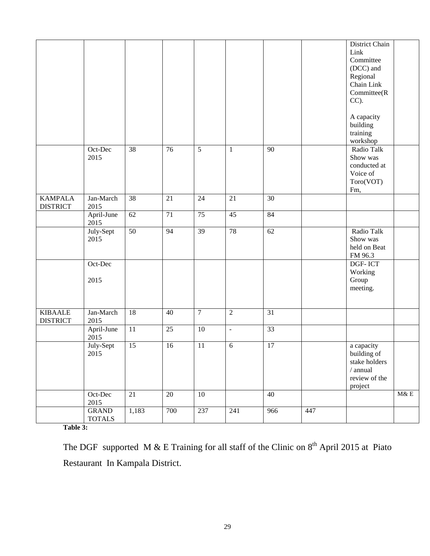|                 |               |                 |                 |                 |                |                 |     | District Chain   |     |
|-----------------|---------------|-----------------|-----------------|-----------------|----------------|-----------------|-----|------------------|-----|
|                 |               |                 |                 |                 |                |                 |     | Link             |     |
|                 |               |                 |                 |                 |                |                 |     | Committee        |     |
|                 |               |                 |                 |                 |                |                 |     | (DCC) and        |     |
|                 |               |                 |                 |                 |                |                 |     | Regional         |     |
|                 |               |                 |                 |                 |                |                 |     | Chain Link       |     |
|                 |               |                 |                 |                 |                |                 |     | Committee(R      |     |
|                 |               |                 |                 |                 |                |                 |     | $CC$ ).          |     |
|                 |               |                 |                 |                 |                |                 |     |                  |     |
|                 |               |                 |                 |                 |                |                 |     | A capacity       |     |
|                 |               |                 |                 |                 |                |                 |     | building         |     |
|                 |               |                 |                 |                 |                |                 |     | training         |     |
|                 |               |                 |                 |                 |                |                 |     | workshop         |     |
|                 | Oct-Dec       | 38              | 76              | $\overline{5}$  | $\mathbf{1}$   | 90              |     | Radio Talk       |     |
|                 | 2015          |                 |                 |                 |                |                 |     | Show was         |     |
|                 |               |                 |                 |                 |                |                 |     | conducted at     |     |
|                 |               |                 |                 |                 |                |                 |     | Voice of         |     |
|                 |               |                 |                 |                 |                |                 |     | Toro(VOT)        |     |
|                 |               |                 |                 |                 |                |                 |     | Fm,              |     |
| <b>KAMPALA</b>  | Jan-March     | 38              | 21              | 24              | 21             | 30              |     |                  |     |
|                 |               |                 |                 |                 |                |                 |     |                  |     |
| <b>DISTRICT</b> | 2015          | 62              | 71              | $\overline{75}$ | 45             | 84              |     |                  |     |
|                 | April-June    |                 |                 |                 |                |                 |     |                  |     |
|                 | 2015          |                 |                 |                 |                |                 |     |                  |     |
|                 | July-Sept     | $\overline{50}$ | 94              | $\overline{39}$ | 78             | 62              |     | Radio Talk       |     |
|                 | 2015          |                 |                 |                 |                |                 |     | Show was         |     |
|                 |               |                 |                 |                 |                |                 |     | held on Beat     |     |
|                 |               |                 |                 |                 |                |                 |     | FM 96.3          |     |
|                 | Oct-Dec       |                 |                 |                 |                |                 |     | DGF-ICT          |     |
|                 |               |                 |                 |                 |                |                 |     | Working          |     |
|                 | 2015          |                 |                 |                 |                |                 |     | Group            |     |
|                 |               |                 |                 |                 |                |                 |     | meeting.         |     |
|                 |               |                 |                 |                 |                |                 |     |                  |     |
|                 |               |                 |                 |                 |                |                 |     |                  |     |
| <b>KIBAALE</b>  | Jan-March     | 18              | 40              | $\overline{7}$  | $\overline{2}$ | 31              |     |                  |     |
| <b>DISTRICT</b> | 2015          |                 |                 |                 |                |                 |     |                  |     |
|                 | April-June    | $\overline{11}$ | $\overline{25}$ | 10              | $\Box$         | 33              |     |                  |     |
|                 | 2015          |                 |                 |                 |                |                 |     |                  |     |
|                 | July-Sept     | $\overline{15}$ | 16              | 11              | 6              | $\overline{17}$ |     | a capacity       |     |
|                 | 2015          |                 |                 |                 |                |                 |     | building of      |     |
|                 |               |                 |                 |                 |                |                 |     | stake holders    |     |
|                 |               |                 |                 |                 |                |                 |     | $\sqrt{}$ annual |     |
|                 |               |                 |                 |                 |                |                 |     | review of the    |     |
|                 |               |                 |                 |                 |                |                 |     | project          |     |
|                 | Oct-Dec       | 21              | 20              | 10              |                | $\overline{40}$ |     |                  | M&E |
|                 | 2015          |                 |                 |                 |                |                 |     |                  |     |
|                 | <b>GRAND</b>  | 1,183           | 700             | 237             | 241            | 966             | 447 |                  |     |
|                 | <b>TOTALS</b> |                 |                 |                 |                |                 |     |                  |     |
|                 |               |                 |                 |                 |                |                 |     |                  |     |

**Table 3:**

The DGF supported M & E Training for all staff of the Clinic on  $8<sup>th</sup>$  April 2015 at Piato Restaurant In Kampala District.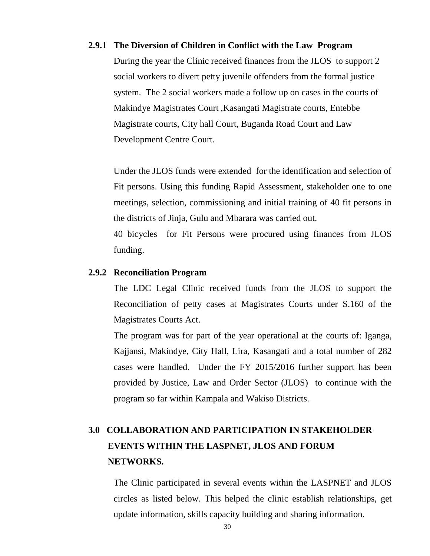#### **2.9.1 The Diversion of Children in Conflict with the Law Program**

During the year the Clinic received finances from the JLOS to support 2 social workers to divert petty juvenile offenders from the formal justice system. The 2 social workers made a follow up on cases in the courts of Makindye Magistrates Court ,Kasangati Magistrate courts, Entebbe Magistrate courts, City hall Court, Buganda Road Court and Law Development Centre Court.

Under the JLOS funds were extended for the identification and selection of Fit persons. Using this funding Rapid Assessment, stakeholder one to one meetings, selection, commissioning and initial training of 40 fit persons in the districts of Jinja, Gulu and Mbarara was carried out.

40 bicycles for Fit Persons were procured using finances from JLOS funding.

#### **2.9.2 Reconciliation Program**

The LDC Legal Clinic received funds from the JLOS to support the Reconciliation of petty cases at Magistrates Courts under S.160 of the Magistrates Courts Act.

The program was for part of the year operational at the courts of: Iganga, Kajjansi, Makindye, City Hall, Lira, Kasangati and a total number of 282 cases were handled. Under the FY 2015/2016 further support has been provided by Justice, Law and Order Sector (JLOS) to continue with the program so far within Kampala and Wakiso Districts.

# **3.0 COLLABORATION AND PARTICIPATION IN STAKEHOLDER EVENTS WITHIN THE LASPNET, JLOS AND FORUM NETWORKS.**

The Clinic participated in several events within the LASPNET and JLOS circles as listed below. This helped the clinic establish relationships, get update information, skills capacity building and sharing information.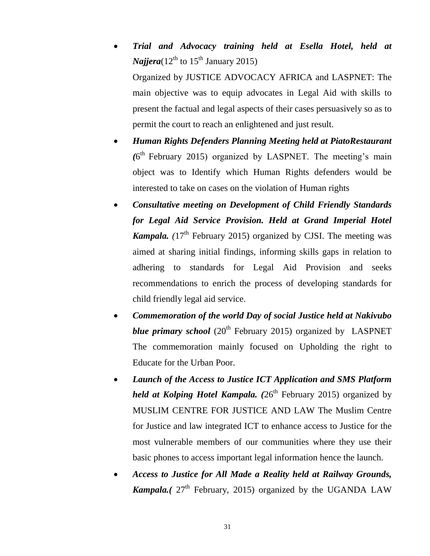- *Trial and Advocacy training held at Esella Hotel, held at Najjera*( $12^{th}$  to  $15^{th}$  January 2015) Organized by JUSTICE ADVOCACY AFRICA and LASPNET: The main objective was to equip advocates in Legal Aid with skills to present the factual and legal aspects of their cases persuasively so as to permit the court to reach an enlightened and just result.
- *Human Rights Defenders Planning Meeting held at PiatoRestaurant* (6<sup>th</sup> February 2015) organized by LASPNET. The meeting's main object was to Identify which Human Rights defenders would be interested to take on cases on the violation of Human rights
- *Consultative meeting on Development of Child Friendly Standards for Legal Aid Service Provision. Held at Grand Imperial Hotel Kampala.* ( $17<sup>th</sup>$  February 2015) organized by CJSI. The meeting was aimed at sharing initial findings, informing skills gaps in relation to adhering to standards for Legal Aid Provision and seeks recommendations to enrich the process of developing standards for child friendly legal aid service.
- *Commemoration of the world Day of social Justice held at Nakivubo blue primary school* (20<sup>th</sup> February 2015) organized by LASPNET The commemoration mainly focused on Upholding the right to Educate for the Urban Poor.
- *Launch of the Access to Justice ICT Application and SMS Platform held at Kolping Hotel Kampala.*  $(26<sup>th</sup>$  February 2015) organized by MUSLIM CENTRE FOR JUSTICE AND LAW The Muslim Centre for Justice and law integrated ICT to enhance access to Justice for the most vulnerable members of our communities where they use their basic phones to access important legal information hence the launch.
- *Access to Justice for All Made a Reality held at Railway Grounds, Kampala.* ( $27<sup>th</sup>$  February, 2015) organized by the UGANDA LAW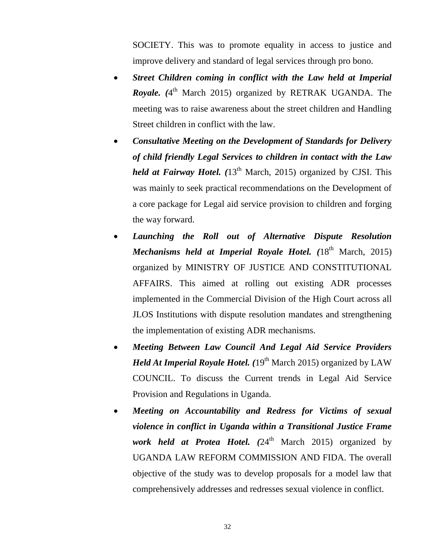SOCIETY. This was to promote equality in access to justice and improve delivery and standard of legal services through pro bono.

- *Street Children coming in conflict with the Law held at Imperial*  **Royale.** (4<sup>th</sup> March 2015) organized by RETRAK UGANDA. The meeting was to raise awareness about the street children and Handling Street children in conflict with the law.
- *Consultative Meeting on the Development of Standards for Delivery of child friendly Legal Services to children in contact with the Law held at Fairway Hotel.* (13<sup>th</sup> March, 2015) organized by CJSI. This was mainly to seek practical recommendations on the Development of a core package for Legal aid service provision to children and forging the way forward.
- *Launching the Roll out of Alternative Dispute Resolution Mechanisms held at Imperial Royale Hotel.* (18<sup>th</sup> March, 2015) organized by MINISTRY OF JUSTICE AND CONSTITUTIONAL AFFAIRS. This aimed at rolling out existing ADR processes implemented in the Commercial Division of the High Court across all JLOS Institutions with dispute resolution mandates and strengthening the implementation of existing ADR mechanisms.
- *Meeting Between Law Council And Legal Aid Service Providers Held At Imperial Royale Hotel.* (19<sup>th</sup> March 2015) organized by LAW COUNCIL. To discuss the Current trends in Legal Aid Service Provision and Regulations in Uganda.
- *Meeting on Accountability and Redress for Victims of sexual violence in conflict in Uganda within a Transitional Justice Frame work held at Protea Hotel.* (24<sup>th</sup> March 2015) organized by UGANDA LAW REFORM COMMISSION AND FIDA. The overall objective of the study was to develop proposals for a model law that comprehensively addresses and redresses sexual violence in conflict.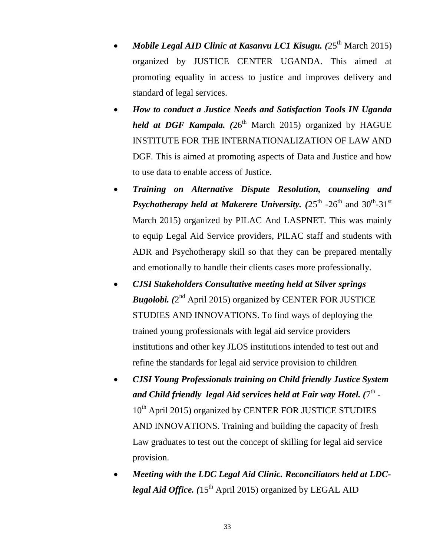- *Mobile Legal AID Clinic at Kasanvu LC1 Kisugu.* (25<sup>th</sup> March 2015) organized by JUSTICE CENTER UGANDA. This aimed at promoting equality in access to justice and improves delivery and standard of legal services.
- *How to conduct a Justice Needs and Satisfaction Tools IN Uganda held at DGF Kampala.*  $(26<sup>th</sup> March 2015)$  organized by HAGUE INSTITUTE FOR THE INTERNATIONALIZATION OF LAW AND DGF. This is aimed at promoting aspects of Data and Justice and how to use data to enable access of Justice.
- *Training on Alternative Dispute Resolution, counseling and*  **Psychotherapy held at Makerere University.** (25<sup>th</sup> -26<sup>th</sup> and 30<sup>th</sup>-31<sup>st</sup> March 2015) organized by PILAC And LASPNET. This was mainly to equip Legal Aid Service providers, PILAC staff and students with ADR and Psychotherapy skill so that they can be prepared mentally and emotionally to handle their clients cases more professionally.
- *CJSI Stakeholders Consultative meeting held at Silver springs*  Bugolobi. (2<sup>nd</sup> April 2015) organized by CENTER FOR JUSTICE STUDIES AND INNOVATIONS. To find ways of deploying the trained young professionals with legal aid service providers institutions and other key JLOS institutions intended to test out and refine the standards for legal aid service provision to children
- *CJSI Young Professionals training on Child friendly Justice System*  and Child friendly legal Aid services held at Fair way Hotel. (7<sup>th</sup> -10<sup>th</sup> April 2015) organized by CENTER FOR JUSTICE STUDIES AND INNOVATIONS. Training and building the capacity of fresh Law graduates to test out the concept of skilling for legal aid service provision.
- *Meeting with the LDC Legal Aid Clinic. Reconciliators held at LDClegal Aid Office.* ( $15<sup>th</sup>$  April 2015) organized by LEGAL AID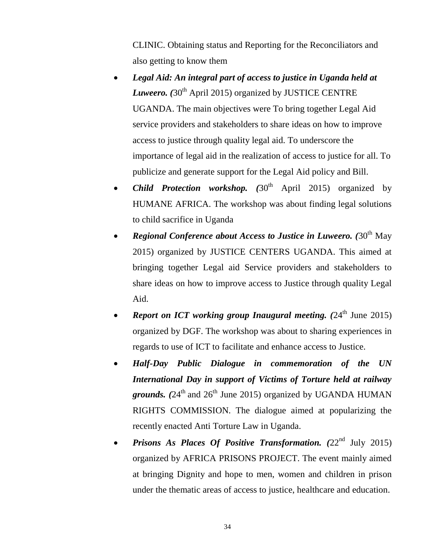CLINIC. Obtaining status and Reporting for the Reconciliators and also getting to know them

- *Legal Aid: An integral part of access to justice in Uganda held at Luweero.* (30<sup>th</sup> April 2015) organized by JUSTICE CENTRE UGANDA. The main objectives were To bring together Legal Aid service providers and stakeholders to share ideas on how to improve access to justice through quality legal aid. To underscore the importance of legal aid in the realization of access to justice for all. To publicize and generate support for the Legal Aid policy and Bill.
- *Child Protection workshop.*  $(30<sup>th</sup>$  April 2015) organized by HUMANE AFRICA. The workshop was about finding legal solutions to child sacrifice in Uganda
- *Regional Conference about Access to Justice in Luweero.* (30<sup>th</sup> May 2015) organized by JUSTICE CENTERS UGANDA. This aimed at bringing together Legal aid Service providers and stakeholders to share ideas on how to improve access to Justice through quality Legal Aid.
- *Report on ICT working group Inaugural meeting.* (24<sup>th</sup> June 2015) organized by DGF. The workshop was about to sharing experiences in regards to use of ICT to facilitate and enhance access to Justice.
- *Half-Day Public Dialogue in commemoration of the UN International Day in support of Victims of Torture held at railway grounds.*  $(24<sup>th</sup>$  and  $26<sup>th</sup>$  June 2015) organized by UGANDA HUMAN RIGHTS COMMISSION. The dialogue aimed at popularizing the recently enacted Anti Torture Law in Uganda.
- *Prisons As Places Of Positive Transformation.* (22<sup>nd</sup> July 2015) organized by AFRICA PRISONS PROJECT. The event mainly aimed at bringing Dignity and hope to men, women and children in prison under the thematic areas of access to justice, healthcare and education.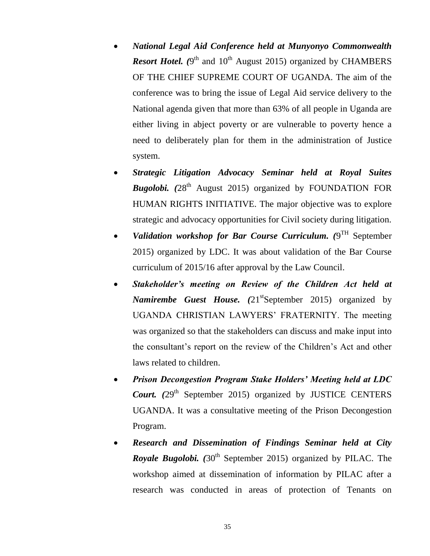- *National Legal Aid Conference held at Munyonyo Commonwealth Resort Hotel.* (9<sup>th</sup> and 10<sup>th</sup> August 2015) organized by CHAMBERS OF THE CHIEF SUPREME COURT OF UGANDA. The aim of the conference was to bring the issue of Legal Aid service delivery to the National agenda given that more than 63% of all people in Uganda are either living in abject poverty or are vulnerable to poverty hence a need to deliberately plan for them in the administration of Justice system.
- *Strategic Litigation Advocacy Seminar held at Royal Suites Bugolobi.* (28<sup>th</sup> August 2015) organized by FOUNDATION FOR HUMAN RIGHTS INITIATIVE. The major objective was to explore strategic and advocacy opportunities for Civil society during litigation.
- Validation workshop for Bar Course Curriculum. (9<sup>TH</sup> September 2015) organized by LDC. It was about validation of the Bar Course curriculum of 2015/16 after approval by the Law Council.
- *Stakeholder's meeting on Review of the Children Act held at Namirembe Guest House.* (21<sup>st</sup>September 2015) organized by UGANDA CHRISTIAN LAWYERS' FRATERNITY. The meeting was organized so that the stakeholders can discuss and make input into the consultant's report on the review of the Children's Act and other laws related to children.
- *Prison Decongestion Program Stake Holders' Meeting held at LDC Court.* (29<sup>th</sup> September 2015) organized by JUSTICE CENTERS UGANDA. It was a consultative meeting of the Prison Decongestion Program.
- *Research and Dissemination of Findings Seminar held at City Royale Bugolobi.* (30<sup>th</sup> September 2015) organized by PILAC. The workshop aimed at dissemination of information by PILAC after a research was conducted in areas of protection of Tenants on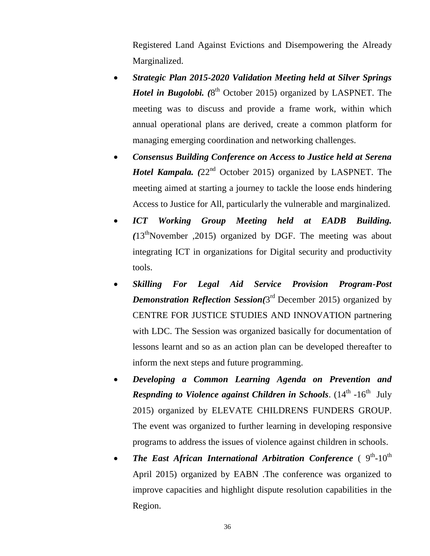Registered Land Against Evictions and Disempowering the Already Marginalized.

- *Strategic Plan 2015-2020 Validation Meeting held at Silver Springs Hotel in Bugolobi.* (8<sup>th</sup> October 2015) organized by LASPNET. The meeting was to discuss and provide a frame work, within which annual operational plans are derived, create a common platform for managing emerging coordination and networking challenges.
- *Consensus Building Conference on Access to Justice held at Serena Hotel Kampala.* (22<sup>nd</sup> October 2015) organized by LASPNET. The meeting aimed at starting a journey to tackle the loose ends hindering Access to Justice for All, particularly the vulnerable and marginalized.
- *ICT Working Group Meeting held at EADB Building.*   $(13<sup>th</sup>$ November ,2015) organized by DGF. The meeting was about integrating ICT in organizations for Digital security and productivity tools.
- *Skilling For Legal Aid Service Provision Program-Post*  **Demonstration Reflection Session**(3<sup>rd</sup> December 2015) organized by CENTRE FOR JUSTICE STUDIES AND INNOVATION partnering with LDC. The Session was organized basically for documentation of lessons learnt and so as an action plan can be developed thereafter to inform the next steps and future programming.
- *Developing a Common Learning Agenda on Prevention and*  **Respnding to Violence against Children in Schools.** (14<sup>th</sup> -16<sup>th</sup> July 2015) organized by ELEVATE CHILDRENS FUNDERS GROUP. The event was organized to further learning in developing responsive programs to address the issues of violence against children in schools.
- The East African International Arbitration Conference (  $9<sup>th</sup>$ -10<sup>th</sup> April 2015) organized by EABN .The conference was organized to improve capacities and highlight dispute resolution capabilities in the Region.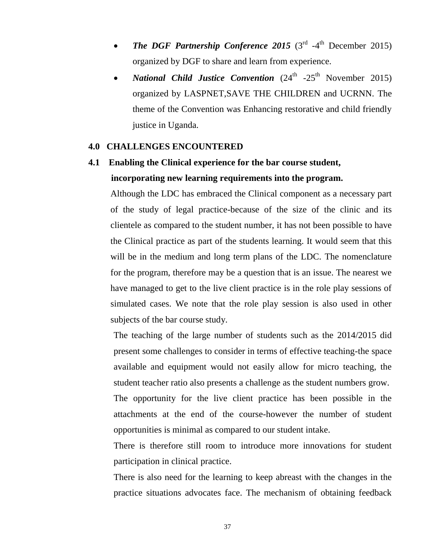- The DGF Partnership Conference 2015  $(3<sup>rd</sup> -4<sup>th</sup>$  December 2015) organized by DGF to share and learn from experience.
- *National Child Justice Convention* (24<sup>th</sup> -25<sup>th</sup> November 2015) organized by LASPNET,SAVE THE CHILDREN and UCRNN. The theme of the Convention was Enhancing restorative and child friendly justice in Uganda.

#### **4.0 CHALLENGES ENCOUNTERED**

# **4.1 Enabling the Clinical experience for the bar course student, incorporating new learning requirements into the program.**

Although the LDC has embraced the Clinical component as a necessary part of the study of legal practice-because of the size of the clinic and its clientele as compared to the student number, it has not been possible to have the Clinical practice as part of the students learning. It would seem that this will be in the medium and long term plans of the LDC. The nomenclature for the program, therefore may be a question that is an issue. The nearest we have managed to get to the live client practice is in the role play sessions of simulated cases. We note that the role play session is also used in other subjects of the bar course study.

The teaching of the large number of students such as the 2014/2015 did present some challenges to consider in terms of effective teaching-the space available and equipment would not easily allow for micro teaching, the student teacher ratio also presents a challenge as the student numbers grow.

The opportunity for the live client practice has been possible in the attachments at the end of the course-however the number of student opportunities is minimal as compared to our student intake.

There is therefore still room to introduce more innovations for student participation in clinical practice.

There is also need for the learning to keep abreast with the changes in the practice situations advocates face. The mechanism of obtaining feedback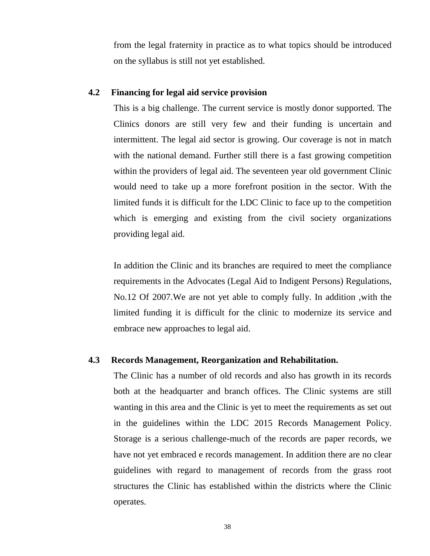from the legal fraternity in practice as to what topics should be introduced on the syllabus is still not yet established.

#### **4.2 Financing for legal aid service provision**

This is a big challenge. The current service is mostly donor supported. The Clinics donors are still very few and their funding is uncertain and intermittent. The legal aid sector is growing. Our coverage is not in match with the national demand. Further still there is a fast growing competition within the providers of legal aid. The seventeen year old government Clinic would need to take up a more forefront position in the sector. With the limited funds it is difficult for the LDC Clinic to face up to the competition which is emerging and existing from the civil society organizations providing legal aid.

In addition the Clinic and its branches are required to meet the compliance requirements in the Advocates (Legal Aid to Indigent Persons) Regulations, No.12 Of 2007.We are not yet able to comply fully. In addition ,with the limited funding it is difficult for the clinic to modernize its service and embrace new approaches to legal aid.

### **4.3 Records Management, Reorganization and Rehabilitation.**

The Clinic has a number of old records and also has growth in its records both at the headquarter and branch offices. The Clinic systems are still wanting in this area and the Clinic is yet to meet the requirements as set out in the guidelines within the LDC 2015 Records Management Policy. Storage is a serious challenge-much of the records are paper records, we have not yet embraced e records management. In addition there are no clear guidelines with regard to management of records from the grass root structures the Clinic has established within the districts where the Clinic operates.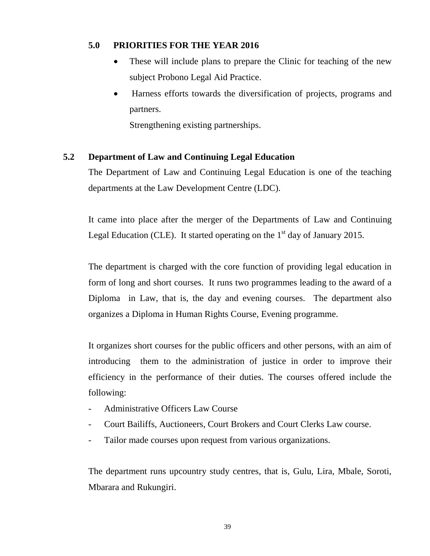### **5.0 PRIORITIES FOR THE YEAR 2016**

- These will include plans to prepare the Clinic for teaching of the new subject Probono Legal Aid Practice.
- Harness efforts towards the diversification of projects, programs and partners.

Strengthening existing partnerships.

### **5.2 Department of Law and Continuing Legal Education**

The Department of Law and Continuing Legal Education is one of the teaching departments at the Law Development Centre (LDC).

It came into place after the merger of the Departments of Law and Continuing Legal Education (CLE). It started operating on the  $1<sup>st</sup>$  day of January 2015.

The department is charged with the core function of providing legal education in form of long and short courses. It runs two programmes leading to the award of a Diploma in Law, that is, the day and evening courses. The department also organizes a Diploma in Human Rights Course, Evening programme.

It organizes short courses for the public officers and other persons, with an aim of introducing them to the administration of justice in order to improve their efficiency in the performance of their duties. The courses offered include the following:

- Administrative Officers Law Course
- Court Bailiffs, Auctioneers, Court Brokers and Court Clerks Law course.
- Tailor made courses upon request from various organizations.

The department runs upcountry study centres, that is, Gulu, Lira, Mbale, Soroti, Mbarara and Rukungiri.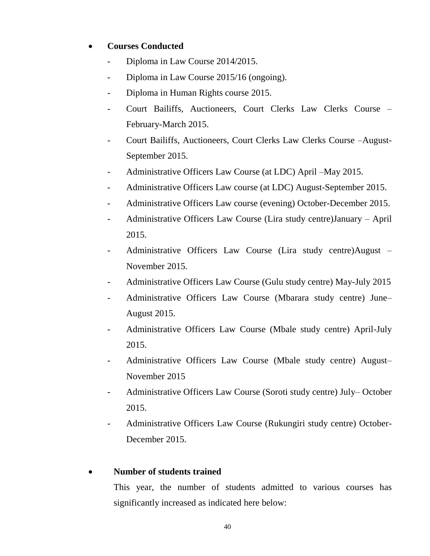### **Courses Conducted**

- Diploma in Law Course 2014/2015.
- Diploma in Law Course 2015/16 (ongoing).
- Diploma in Human Rights course 2015.
- Court Bailiffs, Auctioneers, Court Clerks Law Clerks Course February-March 2015.
- Court Bailiffs, Auctioneers, Court Clerks Law Clerks Course –August-September 2015.
- Administrative Officers Law Course (at LDC) April –May 2015.
- Administrative Officers Law course (at LDC) August-September 2015.
- Administrative Officers Law course (evening) October-December 2015.
- Administrative Officers Law Course (Lira study centre)January April 2015.
- Administrative Officers Law Course (Lira study centre)August November 2015.
- Administrative Officers Law Course (Gulu study centre) May-July 2015
- Administrative Officers Law Course (Mbarara study centre) June– August 2015.
- Administrative Officers Law Course (Mbale study centre) April-July 2015.
- Administrative Officers Law Course (Mbale study centre) August– November 2015
- Administrative Officers Law Course (Soroti study centre) July– October 2015.
- Administrative Officers Law Course (Rukungiri study centre) October-December 2015.

### **Number of students trained**

This year, the number of students admitted to various courses has significantly increased as indicated here below: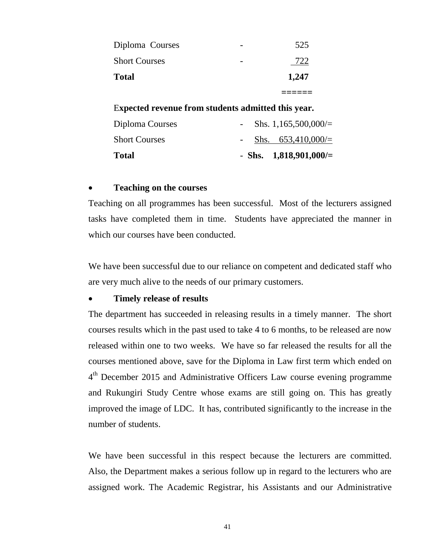| <b>Total</b>         | 1,247    |  |
|----------------------|----------|--|
| <b>Short Courses</b> | 722      |  |
| Diploma Courses      | 525<br>- |  |

E**xpected revenue from students admitted this year.**

| Diploma Courses      |  | Shs. 1,165,500,000/ $=$  |
|----------------------|--|--------------------------|
| <b>Short Courses</b> |  | - Shs. $653,410,000/=$   |
| <b>Total</b>         |  | - Shs. $1,818,901,000/=$ |

#### **Teaching on the courses**

Teaching on all programmes has been successful. Most of the lecturers assigned tasks have completed them in time. Students have appreciated the manner in which our courses have been conducted.

We have been successful due to our reliance on competent and dedicated staff who are very much alive to the needs of our primary customers.

#### **Timely release of results**

The department has succeeded in releasing results in a timely manner. The short courses results which in the past used to take 4 to 6 months, to be released are now released within one to two weeks. We have so far released the results for all the courses mentioned above, save for the Diploma in Law first term which ended on 4<sup>th</sup> December 2015 and Administrative Officers Law course evening programme and Rukungiri Study Centre whose exams are still going on. This has greatly improved the image of LDC. It has, contributed significantly to the increase in the number of students.

We have been successful in this respect because the lecturers are committed. Also, the Department makes a serious follow up in regard to the lecturers who are assigned work. The Academic Registrar, his Assistants and our Administrative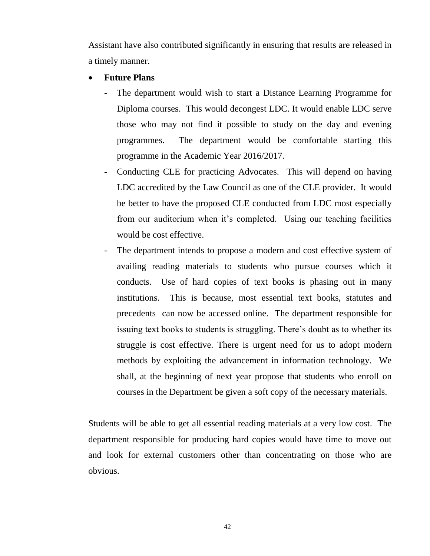Assistant have also contributed significantly in ensuring that results are released in a timely manner.

#### **Future Plans**

- The department would wish to start a Distance Learning Programme for Diploma courses. This would decongest LDC. It would enable LDC serve those who may not find it possible to study on the day and evening programmes. The department would be comfortable starting this programme in the Academic Year 2016/2017.
- Conducting CLE for practicing Advocates. This will depend on having LDC accredited by the Law Council as one of the CLE provider. It would be better to have the proposed CLE conducted from LDC most especially from our auditorium when it's completed. Using our teaching facilities would be cost effective.
- The department intends to propose a modern and cost effective system of availing reading materials to students who pursue courses which it conducts. Use of hard copies of text books is phasing out in many institutions. This is because, most essential text books, statutes and precedents can now be accessed online. The department responsible for issuing text books to students is struggling. There's doubt as to whether its struggle is cost effective. There is urgent need for us to adopt modern methods by exploiting the advancement in information technology. We shall, at the beginning of next year propose that students who enroll on courses in the Department be given a soft copy of the necessary materials.

Students will be able to get all essential reading materials at a very low cost. The department responsible for producing hard copies would have time to move out and look for external customers other than concentrating on those who are obvious.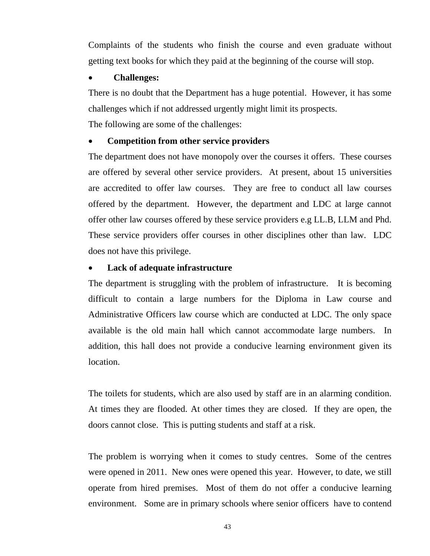Complaints of the students who finish the course and even graduate without getting text books for which they paid at the beginning of the course will stop.

#### **Challenges:**

There is no doubt that the Department has a huge potential. However, it has some challenges which if not addressed urgently might limit its prospects.

The following are some of the challenges:

### **Competition from other service providers**

The department does not have monopoly over the courses it offers. These courses are offered by several other service providers. At present, about 15 universities are accredited to offer law courses. They are free to conduct all law courses offered by the department. However, the department and LDC at large cannot offer other law courses offered by these service providers e.g LL.B, LLM and Phd. These service providers offer courses in other disciplines other than law. LDC does not have this privilege.

### **Lack of adequate infrastructure**

The department is struggling with the problem of infrastructure. It is becoming difficult to contain a large numbers for the Diploma in Law course and Administrative Officers law course which are conducted at LDC. The only space available is the old main hall which cannot accommodate large numbers. In addition, this hall does not provide a conducive learning environment given its location.

The toilets for students, which are also used by staff are in an alarming condition. At times they are flooded. At other times they are closed. If they are open, the doors cannot close. This is putting students and staff at a risk.

The problem is worrying when it comes to study centres. Some of the centres were opened in 2011. New ones were opened this year. However, to date, we still operate from hired premises. Most of them do not offer a conducive learning environment. Some are in primary schools where senior officers have to contend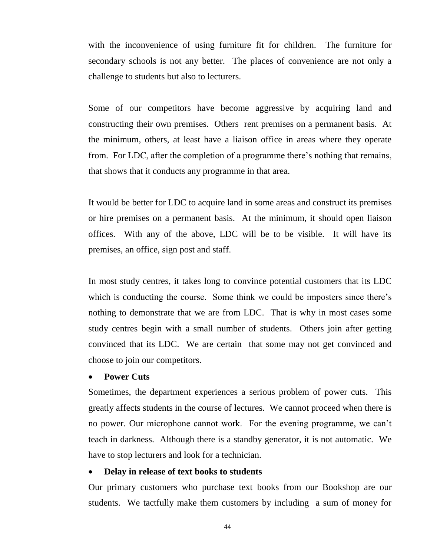with the inconvenience of using furniture fit for children. The furniture for secondary schools is not any better. The places of convenience are not only a challenge to students but also to lecturers.

Some of our competitors have become aggressive by acquiring land and constructing their own premises. Others rent premises on a permanent basis. At the minimum, others, at least have a liaison office in areas where they operate from. For LDC, after the completion of a programme there's nothing that remains, that shows that it conducts any programme in that area.

It would be better for LDC to acquire land in some areas and construct its premises or hire premises on a permanent basis. At the minimum, it should open liaison offices. With any of the above, LDC will be to be visible. It will have its premises, an office, sign post and staff.

In most study centres, it takes long to convince potential customers that its LDC which is conducting the course. Some think we could be imposters since there's nothing to demonstrate that we are from LDC. That is why in most cases some study centres begin with a small number of students. Others join after getting convinced that its LDC. We are certain that some may not get convinced and choose to join our competitors.

#### **Power Cuts**

Sometimes, the department experiences a serious problem of power cuts. This greatly affects students in the course of lectures. We cannot proceed when there is no power. Our microphone cannot work. For the evening programme, we can't teach in darkness. Although there is a standby generator, it is not automatic. We have to stop lecturers and look for a technician.

#### **Delay in release of text books to students**

Our primary customers who purchase text books from our Bookshop are our students. We tactfully make them customers by including a sum of money for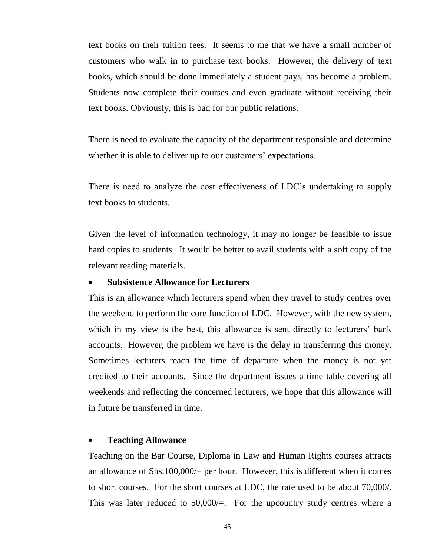text books on their tuition fees. It seems to me that we have a small number of customers who walk in to purchase text books. However, the delivery of text books, which should be done immediately a student pays, has become a problem. Students now complete their courses and even graduate without receiving their text books. Obviously, this is bad for our public relations.

There is need to evaluate the capacity of the department responsible and determine whether it is able to deliver up to our customers' expectations.

There is need to analyze the cost effectiveness of LDC's undertaking to supply text books to students.

Given the level of information technology, it may no longer be feasible to issue hard copies to students. It would be better to avail students with a soft copy of the relevant reading materials.

#### **Subsistence Allowance for Lecturers**

This is an allowance which lecturers spend when they travel to study centres over the weekend to perform the core function of LDC. However, with the new system, which in my view is the best, this allowance is sent directly to lecturers' bank accounts. However, the problem we have is the delay in transferring this money. Sometimes lecturers reach the time of departure when the money is not yet credited to their accounts. Since the department issues a time table covering all weekends and reflecting the concerned lecturers, we hope that this allowance will in future be transferred in time.

#### **Teaching Allowance**

Teaching on the Bar Course, Diploma in Law and Human Rights courses attracts an allowance of Shs.100,000 $/$ = per hour. However, this is different when it comes to short courses. For the short courses at LDC, the rate used to be about 70,000/. This was later reduced to  $50,000/$ =. For the upcountry study centres where a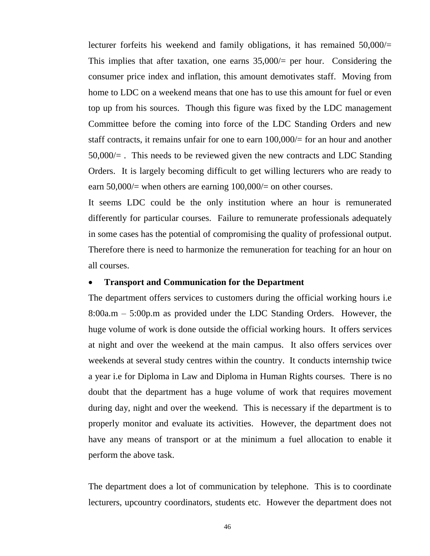lecturer forfeits his weekend and family obligations, it has remained  $50,000/=$ This implies that after taxation, one earns  $35,000/$  per hour. Considering the consumer price index and inflation, this amount demotivates staff. Moving from home to LDC on a weekend means that one has to use this amount for fuel or even top up from his sources. Though this figure was fixed by the LDC management Committee before the coming into force of the LDC Standing Orders and new staff contracts, it remains unfair for one to earn 100,000/= for an hour and another  $50,000/=\,$ . This needs to be reviewed given the new contracts and LDC Standing Orders. It is largely becoming difficult to get willing lecturers who are ready to earn 50,000/= when others are earning 100,000/= on other courses.

It seems LDC could be the only institution where an hour is remunerated differently for particular courses. Failure to remunerate professionals adequately in some cases has the potential of compromising the quality of professional output. Therefore there is need to harmonize the remuneration for teaching for an hour on all courses.

#### **Transport and Communication for the Department**

The department offers services to customers during the official working hours i.e 8:00a.m – 5:00p.m as provided under the LDC Standing Orders. However, the huge volume of work is done outside the official working hours. It offers services at night and over the weekend at the main campus. It also offers services over weekends at several study centres within the country. It conducts internship twice a year i.e for Diploma in Law and Diploma in Human Rights courses. There is no doubt that the department has a huge volume of work that requires movement during day, night and over the weekend. This is necessary if the department is to properly monitor and evaluate its activities. However, the department does not have any means of transport or at the minimum a fuel allocation to enable it perform the above task.

The department does a lot of communication by telephone. This is to coordinate lecturers, upcountry coordinators, students etc. However the department does not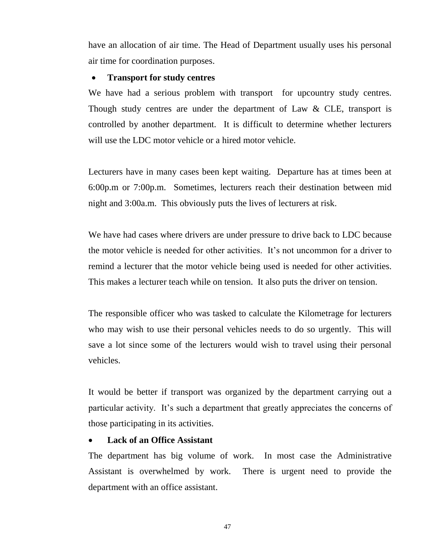have an allocation of air time. The Head of Department usually uses his personal air time for coordination purposes.

#### **Transport for study centres**

We have had a serious problem with transport for upcountry study centres. Though study centres are under the department of Law & CLE, transport is controlled by another department. It is difficult to determine whether lecturers will use the LDC motor vehicle or a hired motor vehicle.

Lecturers have in many cases been kept waiting. Departure has at times been at 6:00p.m or 7:00p.m. Sometimes, lecturers reach their destination between mid night and 3:00a.m. This obviously puts the lives of lecturers at risk.

We have had cases where drivers are under pressure to drive back to LDC because the motor vehicle is needed for other activities. It's not uncommon for a driver to remind a lecturer that the motor vehicle being used is needed for other activities. This makes a lecturer teach while on tension. It also puts the driver on tension.

The responsible officer who was tasked to calculate the Kilometrage for lecturers who may wish to use their personal vehicles needs to do so urgently. This will save a lot since some of the lecturers would wish to travel using their personal vehicles.

It would be better if transport was organized by the department carrying out a particular activity. It's such a department that greatly appreciates the concerns of those participating in its activities.

#### **Lack of an Office Assistant**

The department has big volume of work. In most case the Administrative Assistant is overwhelmed by work. There is urgent need to provide the department with an office assistant.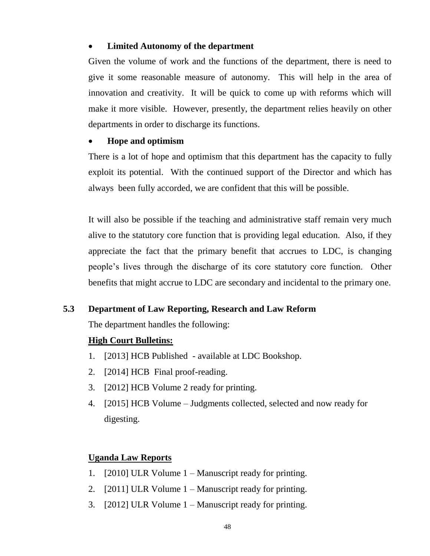#### **Limited Autonomy of the department**

Given the volume of work and the functions of the department, there is need to give it some reasonable measure of autonomy. This will help in the area of innovation and creativity. It will be quick to come up with reforms which will make it more visible. However, presently, the department relies heavily on other departments in order to discharge its functions.

### **Hope and optimism**

There is a lot of hope and optimism that this department has the capacity to fully exploit its potential. With the continued support of the Director and which has always been fully accorded, we are confident that this will be possible.

It will also be possible if the teaching and administrative staff remain very much alive to the statutory core function that is providing legal education. Also, if they appreciate the fact that the primary benefit that accrues to LDC, is changing people's lives through the discharge of its core statutory core function. Other benefits that might accrue to LDC are secondary and incidental to the primary one.

### **5.3 Department of Law Reporting, Research and Law Reform**

The department handles the following:

### **High Court Bulletins:**

- 1. [2013] HCB Published available at LDC Bookshop.
- 2. [2014] HCB Final proof-reading.
- 3. [2012] HCB Volume 2 ready for printing.
- 4. [2015] HCB Volume Judgments collected, selected and now ready for digesting.

### **Uganda Law Reports**

- 1. [2010] ULR Volume 1 Manuscript ready for printing.
- 2. [2011] ULR Volume 1 Manuscript ready for printing.
- 3. [2012] ULR Volume 1 Manuscript ready for printing.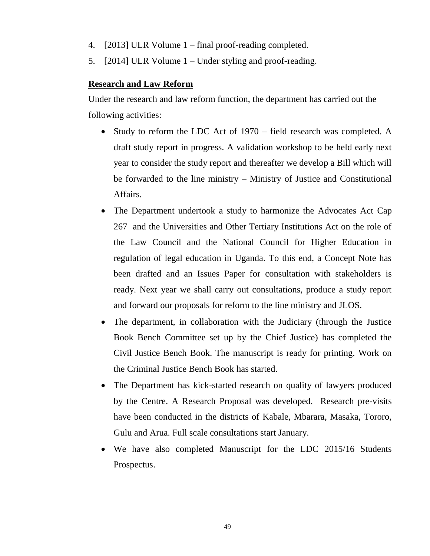- 4. [2013] ULR Volume 1 final proof-reading completed.
- 5. [2014] ULR Volume 1 Under styling and proof-reading.

### **Research and Law Reform**

Under the research and law reform function, the department has carried out the following activities:

- Study to reform the LDC Act of 1970 field research was completed. A draft study report in progress. A validation workshop to be held early next year to consider the study report and thereafter we develop a Bill which will be forwarded to the line ministry – Ministry of Justice and Constitutional Affairs.
- The Department undertook a study to harmonize the Advocates Act Cap 267 and the Universities and Other Tertiary Institutions Act on the role of the Law Council and the National Council for Higher Education in regulation of legal education in Uganda. To this end, a Concept Note has been drafted and an Issues Paper for consultation with stakeholders is ready. Next year we shall carry out consultations, produce a study report and forward our proposals for reform to the line ministry and JLOS.
- The department, in collaboration with the Judiciary (through the Justice Book Bench Committee set up by the Chief Justice) has completed the Civil Justice Bench Book. The manuscript is ready for printing. Work on the Criminal Justice Bench Book has started.
- The Department has kick-started research on quality of lawyers produced by the Centre. A Research Proposal was developed. Research pre-visits have been conducted in the districts of Kabale, Mbarara, Masaka, Tororo, Gulu and Arua. Full scale consultations start January.
- We have also completed Manuscript for the LDC 2015/16 Students Prospectus.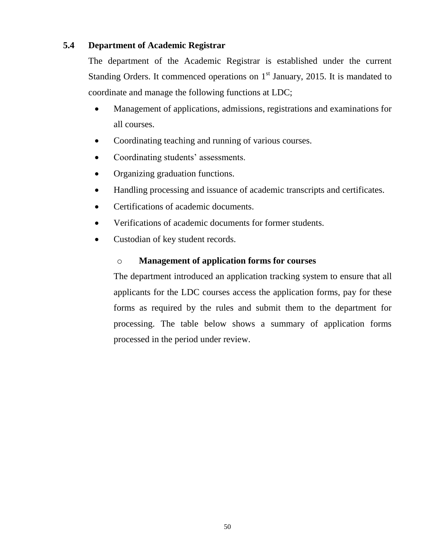### **5.4 Department of Academic Registrar**

The department of the Academic Registrar is established under the current Standing Orders. It commenced operations on  $1<sup>st</sup>$  January, 2015. It is mandated to coordinate and manage the following functions at LDC;

- Management of applications, admissions, registrations and examinations for all courses.
- Coordinating teaching and running of various courses.
- Coordinating students' assessments.
- Organizing graduation functions.
- Handling processing and issuance of academic transcripts and certificates.
- Certifications of academic documents.
- Verifications of academic documents for former students.
- Custodian of key student records.

### o **Management of application forms for courses**

The department introduced an application tracking system to ensure that all applicants for the LDC courses access the application forms, pay for these forms as required by the rules and submit them to the department for processing. The table below shows a summary of application forms processed in the period under review.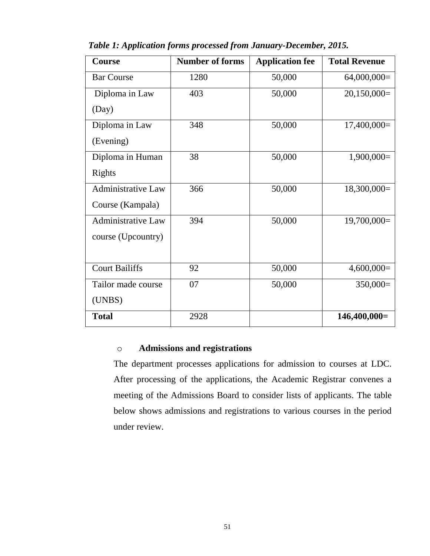| <b>Course</b>             | <b>Number of forms</b> | <b>Application fee</b> | <b>Total Revenue</b> |
|---------------------------|------------------------|------------------------|----------------------|
| <b>Bar Course</b>         | 1280                   | 50,000                 | $64,000,000=$        |
| Diploma in Law            | 403                    | 50,000                 | $20,150,000=$        |
| (Day)                     |                        |                        |                      |
| Diploma in Law            | 348                    | 50,000                 | $17,400,000=$        |
| (Evening)                 |                        |                        |                      |
| Diploma in Human          | 38                     | 50,000                 | $1,900,000=$         |
| Rights                    |                        |                        |                      |
| <b>Administrative Law</b> | 366                    | 50,000                 | $18,300,000=$        |
| Course (Kampala)          |                        |                        |                      |
| <b>Administrative Law</b> | 394                    | 50,000                 | $19,700,000=$        |
| course (Upcountry)        |                        |                        |                      |
|                           |                        |                        |                      |
| <b>Court Bailiffs</b>     | 92                     | 50,000                 | $4,600,000=$         |
| Tailor made course        | 07                     | 50,000                 | $350,000=$           |
| (UNBS)                    |                        |                        |                      |
| <b>Total</b>              | 2928                   |                        | $146,400,000=$       |

*Table 1: Application forms processed from January-December, 2015.*

### o **Admissions and registrations**

The department processes applications for admission to courses at LDC. After processing of the applications, the Academic Registrar convenes a meeting of the Admissions Board to consider lists of applicants. The table below shows admissions and registrations to various courses in the period under review.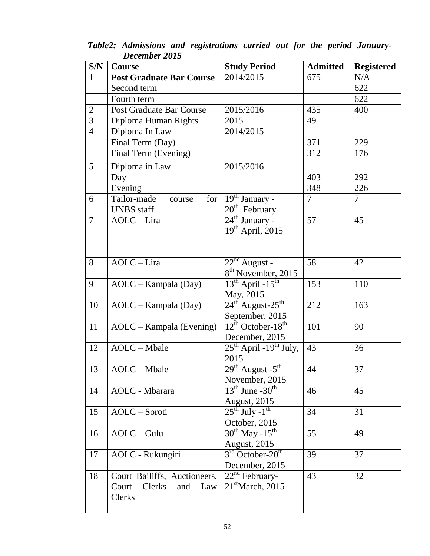| S/N            | Course                          | <b>Study Period</b>                       | <b>Admitted</b> | <b>Registered</b> |
|----------------|---------------------------------|-------------------------------------------|-----------------|-------------------|
| $\mathbf{1}$   | <b>Post Graduate Bar Course</b> | 2014/2015                                 | 675             | N/A               |
|                | Second term                     |                                           |                 | 622               |
|                | Fourth term                     |                                           |                 | 622               |
| $\overline{2}$ | <b>Post Graduate Bar Course</b> | 2015/2016                                 | 435             | 400               |
| $\overline{3}$ | Diploma Human Rights            | 2015                                      | 49              |                   |
| $\overline{4}$ | Diploma In Law                  | 2014/2015                                 |                 |                   |
|                | Final Term (Day)                |                                           | 371             | 229               |
|                | Final Term (Evening)            |                                           | 312             | 176               |
| 5              | Diploma in Law                  | 2015/2016                                 |                 |                   |
|                | Day                             |                                           | 403             | 292               |
|                | Evening                         |                                           | 348             | 226               |
| 6              | Tailor-made<br>for<br>course    | $\overline{19}^{\text{th}}$ January -     | $\overline{7}$  | $\tau$            |
|                | <b>UNBS</b> staff               | $20th$ February                           |                 |                   |
| $\overline{7}$ | AOLC-Lira                       | $24^{\text{th}}$ January -                | 57              | 45                |
|                |                                 | $19th$ April, 2015                        |                 |                   |
|                |                                 |                                           |                 |                   |
|                |                                 |                                           |                 |                   |
| 8              | AOLC-Lira                       | $22nd$ August -                           | 58              | 42                |
|                |                                 | 8 <sup>th</sup> November, 2015            |                 |                   |
| 9              | AOLC - Kampala (Day)            | $13^{th}$ April - $15^{th}$               | 153             | 110               |
|                |                                 | May, 2015                                 |                 |                   |
| 10             | AOLC – Kampala (Day)            | $24^{\text{th}}$ August- $25^{\text{th}}$ | 212             | 163               |
|                |                                 | September, 2015                           |                 |                   |
| 11             | AOLC - Kampala (Evening)        | $12^{th}$ October-18 <sup>th</sup>        | 101             | 90                |
|                |                                 | December, 2015                            |                 |                   |
| 12             | AOLC - Mbale                    | $25th$ April -19 <sup>th</sup> July,      | 43              | 36                |
|                |                                 | 2015                                      |                 |                   |
| 13             | AOLC - Mbale                    | $29th$ August - $5th$                     | 44              | 37                |
|                |                                 | November, 2015                            |                 |                   |
| 14             | <b>AOLC</b> - Mbarara           | $13th$ June -30 <sup>th</sup>             | 46              | 45                |
|                |                                 | <b>August, 2015</b>                       |                 |                   |
| 15             | AOLC-Soroti                     | $25^{\text{th}}$ July -1 <sup>th</sup>    | 34              | 31                |
|                |                                 | October, 2015                             |                 |                   |
| 16             | $AOLC - Gulu$                   | $30^{\text{th}}$ May -15 <sup>th</sup>    | 55              | 49                |
|                |                                 | <b>August</b> , 2015                      |                 |                   |
| 17             | AOLC - Rukungiri                | $3rd$ October-20 <sup>th</sup>            | 39              | 37                |
|                |                                 | December, 2015                            |                 |                   |
| 18             | Court Bailiffs, Auctioneers,    | $22nd$ February-                          | 43              | 32                |
|                | Clerks<br>Court<br>and<br>Law   | $21^{\text{st}}$ March, 2015              |                 |                   |
|                | Clerks                          |                                           |                 |                   |
|                |                                 |                                           |                 |                   |

*Table2: Admissions and registrations carried out for the period January-December 2015*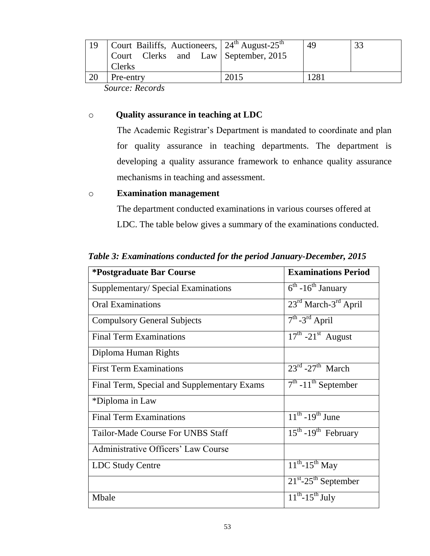| Court Bailiffs, Auctioneers, $24^{\text{th}}$ August- $25^{\text{th}}$<br>Court Clerks and Law September, 2015<br><b>Clerks</b> |      | 49               | 33 |
|---------------------------------------------------------------------------------------------------------------------------------|------|------------------|----|
| Pre-entry                                                                                                                       | 2015 | 128 <sub>1</sub> |    |

 *Source: Records*

#### o **Quality assurance in teaching at LDC**

The Academic Registrar's Department is mandated to coordinate and plan for quality assurance in teaching departments. The department is developing a quality assurance framework to enhance quality assurance mechanisms in teaching and assessment.

#### o **Examination management**

The department conducted examinations in various courses offered at LDC. The table below gives a summary of the examinations conducted.

| *Postgraduate Bar Course                    | <b>Examinations Period</b>                    |
|---------------------------------------------|-----------------------------------------------|
| Supplementary/Special Examinations          | $6^{\text{th}}$ -16 <sup>th</sup> January     |
| <b>Oral Examinations</b>                    | $23^{\text{rd}}$ March- $3^{\text{rd}}$ April |
| <b>Compulsory General Subjects</b>          | $7th - 3rd$ April                             |
| <b>Final Term Examinations</b>              | $17^{\text{th}}$ -21 <sup>st</sup> August     |
| Diploma Human Rights                        |                                               |
| <b>First Term Examinations</b>              | $23^{\text{rd}}$ -27 <sup>th</sup> March      |
| Final Term, Special and Supplementary Exams | $7th$ -11 <sup>th</sup> September             |
| *Diploma in Law                             |                                               |
| <b>Final Term Examinations</b>              | $11^{th}$ -19 <sup>th</sup> June              |
| Tailor-Made Course For UNBS Staff           | $15^{th}$ -19 <sup>th</sup> February          |
| Administrative Officers' Law Course         |                                               |
| <b>LDC Study Centre</b>                     | $11^{th}$ -15 <sup>th</sup> May               |
|                                             | $21^{st}$ -25 <sup>th</sup> September         |
| Mbale                                       | $11^{th}$ -15 <sup>th</sup> July              |

 *Table 3: Examinations conducted for the period January-December, 2015*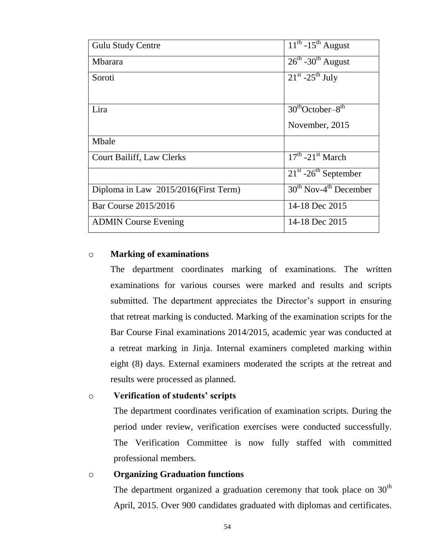| <b>Gulu Study Centre</b>              | $11^{th}$ -15 <sup>th</sup> August        |
|---------------------------------------|-------------------------------------------|
| <b>Mbarara</b>                        | $26^{\text{th}}$ -30 <sup>th</sup> August |
| Soroti                                | $21^{st}$ -25 <sup>th</sup> July          |
|                                       |                                           |
| Lira                                  | $30^{th}$ October-8 <sup>th</sup>         |
|                                       | November, 2015                            |
| Mbale                                 |                                           |
| <b>Court Bailiff, Law Clerks</b>      | $17th$ -21 <sup>st</sup> March            |
|                                       | $21st - 26th$ September                   |
| Diploma in Law 2015/2016 (First Term) | $30th$ Nov-4 <sup>th</sup> December       |
| Bar Course 2015/2016                  | 14-18 Dec 2015                            |
| <b>ADMIN Course Evening</b>           | 14-18 Dec 2015                            |

#### o **Marking of examinations**

The department coordinates marking of examinations. The written examinations for various courses were marked and results and scripts submitted. The department appreciates the Director's support in ensuring that retreat marking is conducted. Marking of the examination scripts for the Bar Course Final examinations 2014/2015, academic year was conducted at a retreat marking in Jinja. Internal examiners completed marking within eight (8) days. External examiners moderated the scripts at the retreat and results were processed as planned.

#### o **Verification of students' scripts**

The department coordinates verification of examination scripts. During the period under review, verification exercises were conducted successfully. The Verification Committee is now fully staffed with committed professional members.

#### o **Organizing Graduation functions**

The department organized a graduation ceremony that took place on  $30<sup>th</sup>$ April, 2015. Over 900 candidates graduated with diplomas and certificates.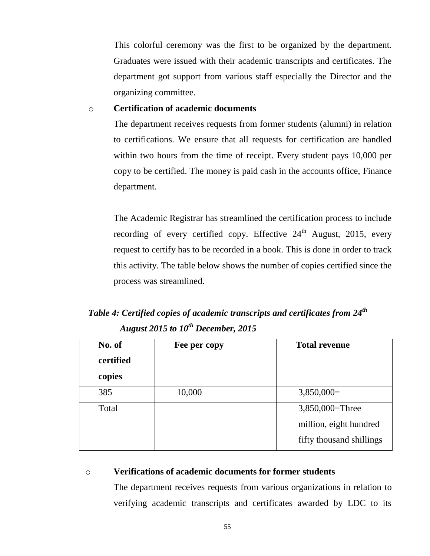This colorful ceremony was the first to be organized by the department. Graduates were issued with their academic transcripts and certificates. The department got support from various staff especially the Director and the organizing committee.

#### o **Certification of academic documents**

The department receives requests from former students (alumni) in relation to certifications. We ensure that all requests for certification are handled within two hours from the time of receipt. Every student pays 10,000 per copy to be certified. The money is paid cash in the accounts office, Finance department.

The Academic Registrar has streamlined the certification process to include recording of every certified copy. Effective 24<sup>th</sup> August, 2015, every request to certify has to be recorded in a book. This is done in order to track this activity. The table below shows the number of copies certified since the process was streamlined.

# *Table 4: Certified copies of academic transcripts and certificates from 24th August 2015 to 10th December, 2015*

| No. of    | Fee per copy | <b>Total revenue</b>     |
|-----------|--------------|--------------------------|
| certified |              |                          |
| copies    |              |                          |
| 385       | 10,000       | $3,850,000=$             |
| Total     |              | 3,850,000=Three          |
|           |              | million, eight hundred   |
|           |              | fifty thousand shillings |

#### o **Verifications of academic documents for former students**

The department receives requests from various organizations in relation to verifying academic transcripts and certificates awarded by LDC to its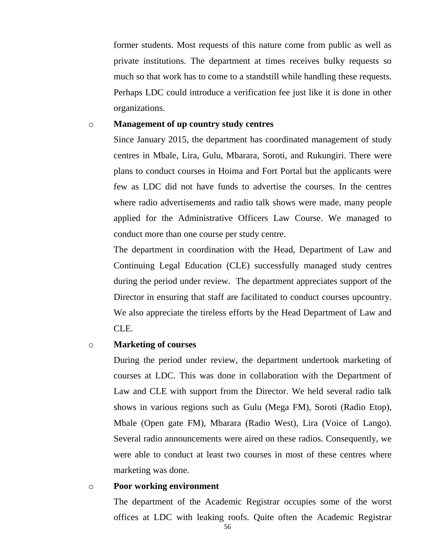former students. Most requests of this nature come from public as well as private institutions. The department at times receives bulky requests so much so that work has to come to a standstill while handling these requests. Perhaps LDC could introduce a verification fee just like it is done in other organizations.

#### o **Management of up country study centres**

Since January 2015, the department has coordinated management of study centres in Mbale, Lira, Gulu, Mbarara, Soroti, and Rukungiri. There were plans to conduct courses in Hoima and Fort Portal but the applicants were few as LDC did not have funds to advertise the courses. In the centres where radio advertisements and radio talk shows were made, many people applied for the Administrative Officers Law Course. We managed to conduct more than one course per study centre.

The department in coordination with the Head, Department of Law and Continuing Legal Education (CLE) successfully managed study centres during the period under review. The department appreciates support of the Director in ensuring that staff are facilitated to conduct courses upcountry. We also appreciate the tireless efforts by the Head Department of Law and CLE.

#### o **Marketing of courses**

During the period under review, the department undertook marketing of courses at LDC. This was done in collaboration with the Department of Law and CLE with support from the Director. We held several radio talk shows in various regions such as Gulu (Mega FM), Soroti (Radio Etop), Mbale (Open gate FM), Mbarara (Radio West), Lira (Voice of Lango). Several radio announcements were aired on these radios. Consequently, we were able to conduct at least two courses in most of these centres where marketing was done.

o **Poor working environment**

The department of the Academic Registrar occupies some of the worst offices at LDC with leaking roofs. Quite often the Academic Registrar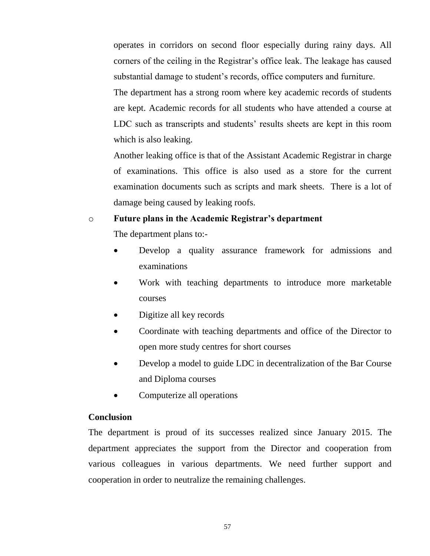operates in corridors on second floor especially during rainy days. All corners of the ceiling in the Registrar's office leak. The leakage has caused substantial damage to student's records, office computers and furniture.

The department has a strong room where key academic records of students are kept. Academic records for all students who have attended a course at LDC such as transcripts and students' results sheets are kept in this room which is also leaking.

Another leaking office is that of the Assistant Academic Registrar in charge of examinations. This office is also used as a store for the current examination documents such as scripts and mark sheets. There is a lot of damage being caused by leaking roofs.

#### o **Future plans in the Academic Registrar's department**

The department plans to:-

- Develop a quality assurance framework for admissions and examinations
- Work with teaching departments to introduce more marketable courses
- Digitize all key records
- Coordinate with teaching departments and office of the Director to open more study centres for short courses
- Develop a model to guide LDC in decentralization of the Bar Course and Diploma courses
- Computerize all operations

#### **Conclusion**

The department is proud of its successes realized since January 2015. The department appreciates the support from the Director and cooperation from various colleagues in various departments. We need further support and cooperation in order to neutralize the remaining challenges.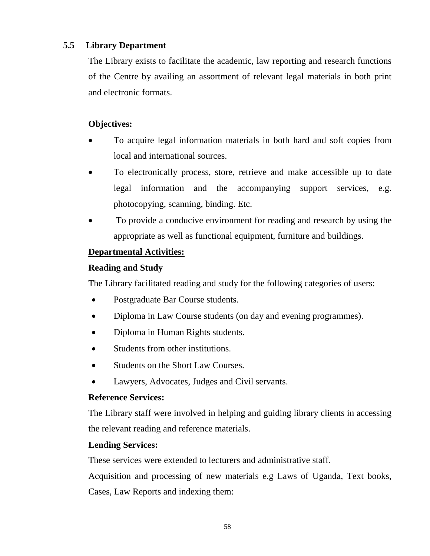### **5.5 Library Department**

The Library exists to facilitate the academic, law reporting and research functions of the Centre by availing an assortment of relevant legal materials in both print and electronic formats.

### **Objectives:**

- To acquire legal information materials in both hard and soft copies from local and international sources.
- To electronically process, store, retrieve and make accessible up to date legal information and the accompanying support services, e.g. photocopying, scanning, binding. Etc.
- To provide a conducive environment for reading and research by using the appropriate as well as functional equipment, furniture and buildings.

### **Departmental Activities:**

### **Reading and Study**

The Library facilitated reading and study for the following categories of users:

- Postgraduate Bar Course students.
- Diploma in Law Course students (on day and evening programmes).
- Diploma in Human Rights students.
- Students from other institutions.
- Students on the Short Law Courses.
- Lawyers, Advocates, Judges and Civil servants.

### **Reference Services:**

The Library staff were involved in helping and guiding library clients in accessing the relevant reading and reference materials.

### **Lending Services:**

These services were extended to lecturers and administrative staff.

Acquisition and processing of new materials e.g Laws of Uganda, Text books, Cases, Law Reports and indexing them: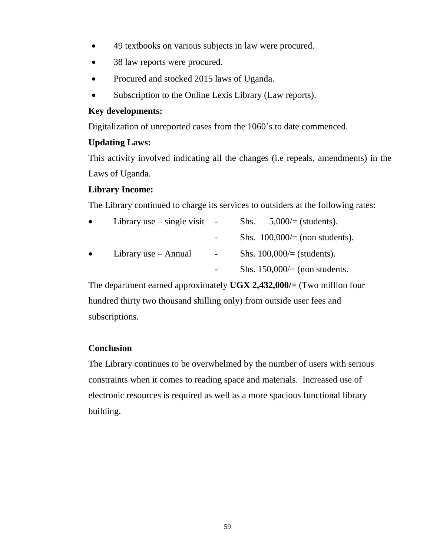- 49 textbooks on various subjects in law were procured.
- 38 law reports were procured.
- Procured and stocked 2015 laws of Uganda.
- Subscription to the Online Lexis Library (Law reports).

### **Key developments:**

Digitalization of unreported cases from the 1060's to date commenced.

### **Updating Laws:**

This activity involved indicating all the changes (i.e repeals, amendments) in the Laws of Uganda.

### **Library Income:**

The Library continued to charge its services to outsiders at the following rates:

| $\bullet$ | Library use $-$ single visit | $\blacksquare$ | $5,000/=(\text{students}).$<br>Shs.     |
|-----------|------------------------------|----------------|-----------------------------------------|
|           |                              |                | Shs. $100,000/=(\text{non students}).$  |
| $\bullet$ | Library use – Annual         | $\blacksquare$ | Shs. $100,000/=(\text{students}).$      |
|           |                              |                | Shs. $150,000/=(\text{non students})$ . |

The department earned approximately **UGX 2,432,000/=** (Two million four hundred thirty two thousand shilling only) from outside user fees and subscriptions.

### **Conclusion**

The Library continues to be overwhelmed by the number of users with serious constraints when it comes to reading space and materials. Increased use of electronic resources is required as well as a more spacious functional library building.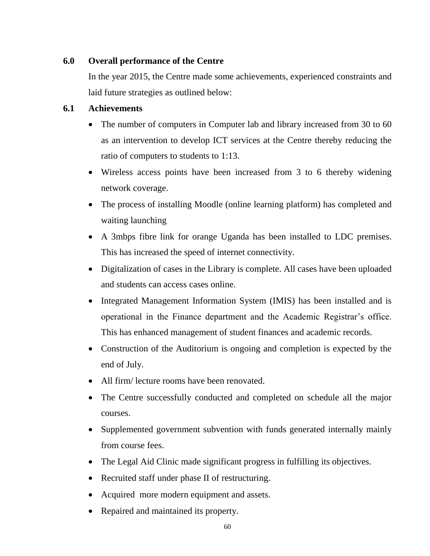### **6.0 Overall performance of the Centre**

In the year 2015, the Centre made some achievements, experienced constraints and laid future strategies as outlined below:

### **6.1 Achievements**

- The number of computers in Computer lab and library increased from 30 to 60 as an intervention to develop ICT services at the Centre thereby reducing the ratio of computers to students to 1:13.
- Wireless access points have been increased from 3 to 6 thereby widening network coverage.
- The process of installing Moodle (online learning platform) has completed and waiting launching
- A 3mbps fibre link for orange Uganda has been installed to LDC premises. This has increased the speed of internet connectivity.
- Digitalization of cases in the Library is complete. All cases have been uploaded and students can access cases online.
- Integrated Management Information System (IMIS) has been installed and is operational in the Finance department and the Academic Registrar's office. This has enhanced management of student finances and academic records.
- Construction of the Auditorium is ongoing and completion is expected by the end of July.
- All firm/ lecture rooms have been renovated.
- The Centre successfully conducted and completed on schedule all the major courses.
- Supplemented government subvention with funds generated internally mainly from course fees.
- The Legal Aid Clinic made significant progress in fulfilling its objectives.
- Recruited staff under phase II of restructuring.
- Acquired more modern equipment and assets.
- Repaired and maintained its property.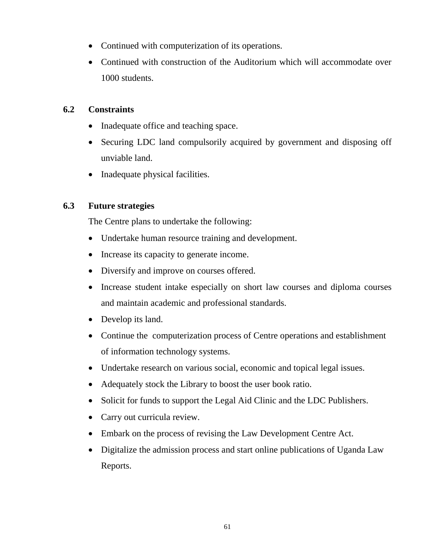- Continued with computerization of its operations.
- Continued with construction of the Auditorium which will accommodate over 1000 students.

### **6.2 Constraints**

- Inadequate office and teaching space.
- Securing LDC land compulsorily acquired by government and disposing off unviable land.
- Inadequate physical facilities.

### **6.3 Future strategies**

The Centre plans to undertake the following:

- Undertake human resource training and development.
- Increase its capacity to generate income.
- Diversify and improve on courses offered.
- Increase student intake especially on short law courses and diploma courses and maintain academic and professional standards.
- Develop its land.
- Continue the computerization process of Centre operations and establishment of information technology systems.
- Undertake research on various social, economic and topical legal issues.
- Adequately stock the Library to boost the user book ratio.
- Solicit for funds to support the Legal Aid Clinic and the LDC Publishers.
- Carry out curricula review.
- Embark on the process of revising the Law Development Centre Act.
- Digitalize the admission process and start online publications of Uganda Law Reports.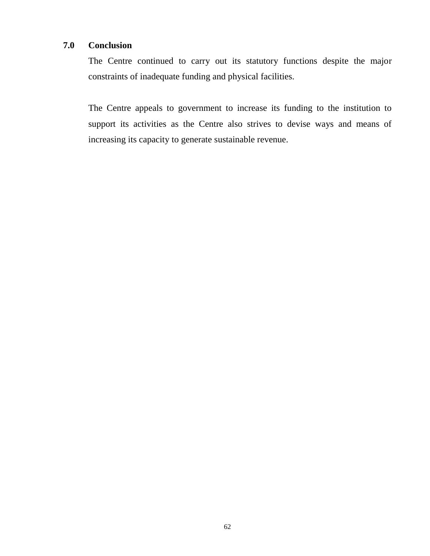### **7.0 Conclusion**

The Centre continued to carry out its statutory functions despite the major constraints of inadequate funding and physical facilities.

The Centre appeals to government to increase its funding to the institution to support its activities as the Centre also strives to devise ways and means of increasing its capacity to generate sustainable revenue.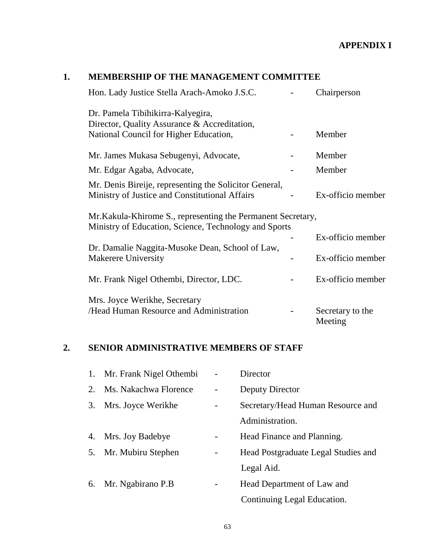### **APPENDIX I**

### **1. MEMBERSHIP OF THE MANAGEMENT COMMITTEE**

| Hon. Lady Justice Stella Arach-Amoko J.S.C.                                                                           | Chairperson                 |
|-----------------------------------------------------------------------------------------------------------------------|-----------------------------|
| Dr. Pamela Tibihikirra-Kalyegira,                                                                                     |                             |
| Director, Quality Assurance & Accreditation,                                                                          |                             |
| National Council for Higher Education,                                                                                | Member                      |
| Mr. James Mukasa Sebugenyi, Advocate,                                                                                 | Member                      |
| Mr. Edgar Agaba, Advocate,                                                                                            | Member                      |
| Mr. Denis Bireije, representing the Solicitor General,                                                                |                             |
| Ministry of Justice and Constitutional Affairs                                                                        | Ex-officio member           |
| Mr. Kakula-Khirome S., representing the Permanent Secretary,<br>Ministry of Education, Science, Technology and Sports |                             |
|                                                                                                                       | Ex-officio member           |
| Dr. Damalie Naggita-Musoke Dean, School of Law,                                                                       |                             |
| <b>Makerere University</b>                                                                                            | Ex-officio member           |
| Mr. Frank Nigel Othembi, Director, LDC.                                                                               | Ex-officio member           |
| Mrs. Joyce Werikhe, Secretary                                                                                         |                             |
| /Head Human Resource and Administration                                                                               | Secretary to the<br>Meeting |

### **2. SENIOR ADMINISTRATIVE MEMBERS OF STAFF**

|    | 1. Mr. Frank Nigel Othembi | Director                            |
|----|----------------------------|-------------------------------------|
| 2. | Ms. Nakachwa Florence      | Deputy Director                     |
| 3. | Mrs. Joyce Werikhe         | Secretary/Head Human Resource and   |
|    |                            | Administration.                     |
|    | 4. Mrs. Joy Badebye        | Head Finance and Planning.          |
|    | 5. Mr. Mubiru Stephen      | Head Postgraduate Legal Studies and |
|    |                            | Legal Aid.                          |
|    | 6. Mr. Ngabirano P.B       | Head Department of Law and          |
|    |                            | Continuing Legal Education.         |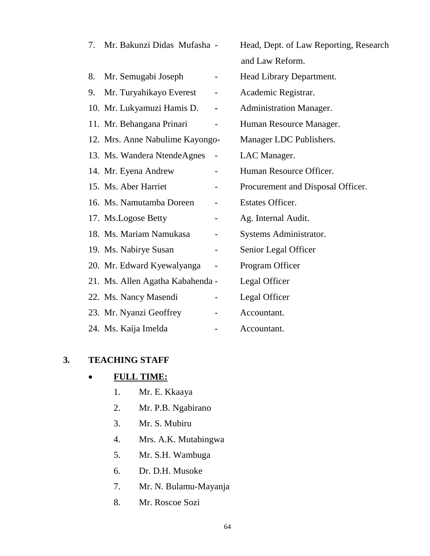| 7. | Mr. Bakunzi Didas Mufasha -      |   | Head, Dept. of Law Reporting, Research |
|----|----------------------------------|---|----------------------------------------|
|    |                                  |   | and Law Reform.                        |
| 8. | Mr. Semugabi Joseph              |   | Head Library Department.               |
| 9. | Mr. Turyahikayo Everest          |   | Academic Registrar.                    |
|    | 10. Mr. Lukyamuzi Hamis D.       | ۰ | <b>Administration Manager.</b>         |
|    | 11. Mr. Behangana Prinari        |   | Human Resource Manager.                |
|    | 12. Mrs. Anne Nabulime Kayongo-  |   | Manager LDC Publishers.                |
|    | 13. Ms. Wandera NtendeAgnes      |   | LAC Manager.                           |
|    | 14. Mr. Eyena Andrew             |   | Human Resource Officer.                |
|    | 15. Ms. Aber Harriet             | - | Procurement and Disposal Officer.      |
|    | 16. Ms. Namutamba Doreen         |   | <b>Estates Officer.</b>                |
|    | 17. Ms.Logose Betty              |   | Ag. Internal Audit.                    |
|    | 18. Ms. Mariam Namukasa          |   | Systems Administrator.                 |
|    | 19. Ms. Nabirye Susan            |   | Senior Legal Officer                   |
|    | 20. Mr. Edward Kyewalyanga       |   | Program Officer                        |
|    | 21. Ms. Allen Agatha Kabahenda - |   | Legal Officer                          |
|    | 22. Ms. Nancy Masendi            |   | Legal Officer                          |
|    | 23. Mr. Nyanzi Geoffrey          |   | Accountant.                            |
|    | 24. Ms. Kaija Imelda             |   | Accountant.                            |

### **3. TEACHING STAFF**

## **FULL TIME:**

- 1. Mr. E. Kkaaya
- 2. Mr. P.B. Ngabirano
- 3. Mr. S. Mubiru
- 4. Mrs. A.K. Mutabingwa
- 5. Mr. S.H. Wambuga
- 6. Dr. D.H. Musoke
- 7. Mr. N. Bulamu-Mayanja
- 8. Mr. Roscoe Sozi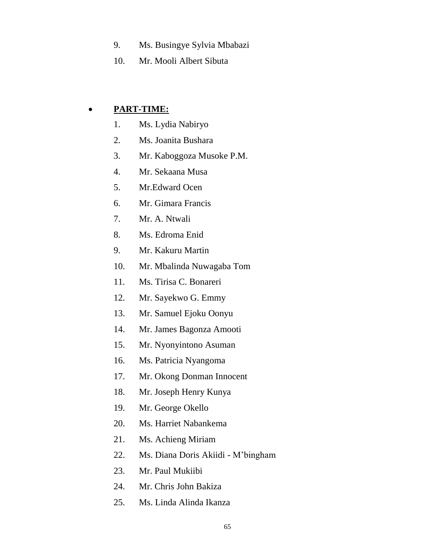- 9. Ms. Busingye Sylvia Mbabazi
- 10. Mr. Mooli Albert Sibuta

### **PART-TIME:**

- 1. Ms. Lydia Nabiryo
- 2. Ms. Joanita Bushara
- 3. Mr. Kaboggoza Musoke P.M.
- 4. Mr. Sekaana Musa
- 5. Mr.Edward Ocen
- 6. Mr. Gimara Francis
- 7. Mr. A. Ntwali
- 8. Ms. Edroma Enid
- 9. Mr. Kakuru Martin
- 10. Mr. Mbalinda Nuwagaba Tom
- 11. Ms. Tirisa C. Bonareri
- 12. Mr. Sayekwo G. Emmy
- 13. Mr. Samuel Ejoku Oonyu
- 14. Mr. James Bagonza Amooti
- 15. Mr. Nyonyintono Asuman
- 16. Ms. Patricia Nyangoma
- 17. Mr. Okong Donman Innocent
- 18. Mr. Joseph Henry Kunya
- 19. Mr. George Okello
- 20. Ms. Harriet Nabankema
- 21. Ms. Achieng Miriam
- 22. Ms. Diana Doris Akiidi M'bingham
- 23. Mr. Paul Mukiibi
- 24. Mr. Chris John Bakiza
- 25. Ms. Linda Alinda Ikanza